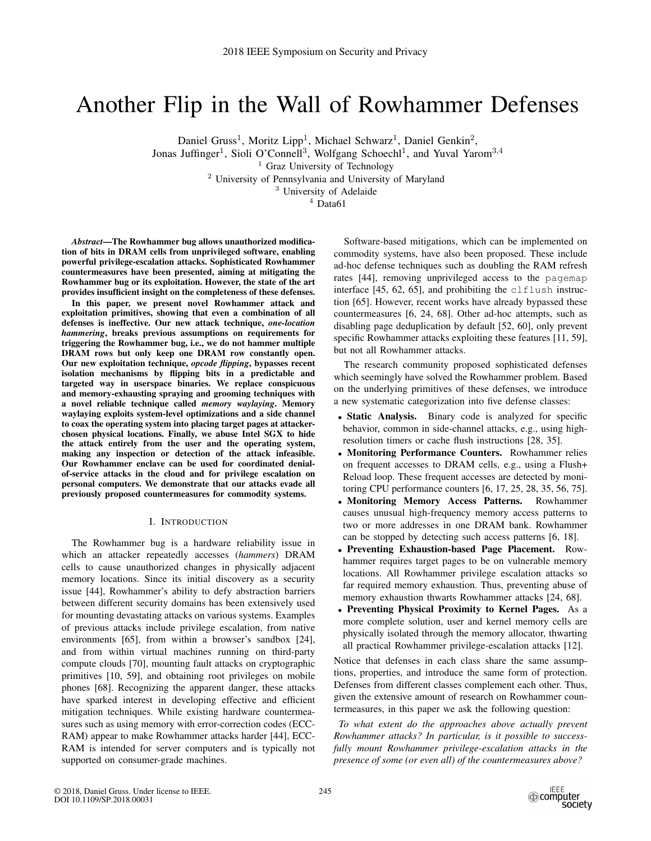# Another Flip in the Wall of Rowhammer Defenses

Daniel Gruss<sup>1</sup>, Moritz Lipp<sup>1</sup>, Michael Schwarz<sup>1</sup>, Daniel Genkin<sup>2</sup>, Jonas Juffinger<sup>1</sup>, Sioli O'Connell<sup>3</sup>, Wolfgang Schoechl<sup>1</sup>, and Yuval Yarom<sup>3,4</sup>  $1$  Graz University of Technology

<sup>2</sup> University of Pennsylvania and University of Maryland

<sup>3</sup> University of Adelaide

<sup>4</sup> Data61

*Abstract*—The Rowhammer bug allows unauthorized modification of bits in DRAM cells from unprivileged software, enabling powerful privilege-escalation attacks. Sophisticated Rowhammer countermeasures have been presented, aiming at mitigating the Rowhammer bug or its exploitation. However, the state of the art provides insufficient insight on the completeness of these defenses.

In this paper, we present novel Rowhammer attack and exploitation primitives, showing that even a combination of all defenses is ineffective. Our new attack technique, *one-location hammering*, breaks previous assumptions on requirements for triggering the Rowhammer bug, i.e., we do not hammer multiple DRAM rows but only keep one DRAM row constantly open. Our new exploitation technique, *opcode flipping*, bypasses recent isolation mechanisms by flipping bits in a predictable and targeted way in userspace binaries. We replace conspicuous and memory-exhausting spraying and grooming techniques with a novel reliable technique called *memory waylaying*. Memory waylaying exploits system-level optimizations and a side channel to coax the operating system into placing target pages at attackerchosen physical locations. Finally, we abuse Intel SGX to hide the attack entirely from the user and the operating system, making any inspection or detection of the attack infeasible. Our Rowhammer enclave can be used for coordinated denialof-service attacks in the cloud and for privilege escalation on personal computers. We demonstrate that our attacks evade all previously proposed countermeasures for commodity systems.

## I. INTRODUCTION

The Rowhammer bug is a hardware reliability issue in which an attacker repeatedly accesses (*hammers*) DRAM cells to cause unauthorized changes in physically adjacent memory locations. Since its initial discovery as a security issue [44], Rowhammer's ability to defy abstraction barriers between different security domains has been extensively used for mounting devastating attacks on various systems. Examples of previous attacks include privilege escalation, from native environments [65], from within a browser's sandbox [24], and from within virtual machines running on third-party compute clouds [70], mounting fault attacks on cryptographic primitives [10, 59], and obtaining root privileges on mobile phones [68]. Recognizing the apparent danger, these attacks have sparked interest in developing effective and efficient mitigation techniques. While existing hardware countermeasures such as using memory with error-correction codes (ECC-RAM) appear to make Rowhammer attacks harder [44], ECC-RAM is intended for server computers and is typically not supported on consumer-grade machines.

Software-based mitigations, which can be implemented on commodity systems, have also been proposed. These include ad-hoc defense techniques such as doubling the RAM refresh rates [44], removing unprivileged access to the pagemap interface  $[45, 62, 65]$ , and prohibiting the clflush instruction [65]. However, recent works have already bypassed these countermeasures [6, 24, 68]. Other ad-hoc attempts, such as disabling page deduplication by default [52, 60], only prevent specific Rowhammer attacks exploiting these features [11, 59], but not all Rowhammer attacks.

The research community proposed sophisticated defenses which seemingly have solved the Rowhammer problem. Based on the underlying primitives of these defenses, we introduce a new systematic categorization into five defense classes:

- Static Analysis. Binary code is analyzed for specific behavior, common in side-channel attacks, e.g., using highresolution timers or cache flush instructions [28, 35].
- Monitoring Performance Counters. Rowhammer relies on frequent accesses to DRAM cells, e.g., using a Flush+ Reload loop. These frequent accesses are detected by monitoring CPU performance counters [6, 17, 25, 28, 35, 56, 75].
- Monitoring Memory Access Patterns. Rowhammer causes unusual high-frequency memory access patterns to two or more addresses in one DRAM bank. Rowhammer can be stopped by detecting such access patterns [6, 18].
- Preventing Exhaustion-based Page Placement. Rowhammer requires target pages to be on vulnerable memory locations. All Rowhammer privilege escalation attacks so far required memory exhaustion. Thus, preventing abuse of memory exhaustion thwarts Rowhammer attacks [24, 68].
- Preventing Physical Proximity to Kernel Pages. As a more complete solution, user and kernel memory cells are physically isolated through the memory allocator, thwarting all practical Rowhammer privilege-escalation attacks [12].

Notice that defenses in each class share the same assumptions, properties, and introduce the same form of protection. Defenses from different classes complement each other. Thus, given the extensive amount of research on Rowhammer countermeasures, in this paper we ask the following question:

*To what extent do the approaches above actually prevent Rowhammer attacks? In particular, is it possible to successfully mount Rowhammer privilege-escalation attacks in the presence of some (or even all) of the countermeasures above?*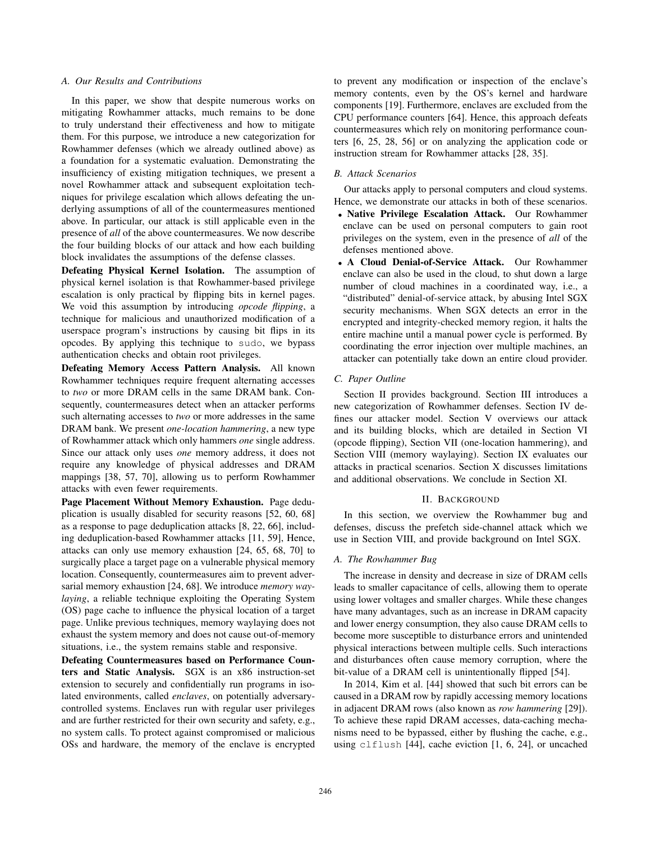## *A. Our Results and Contributions*

In this paper, we show that despite numerous works on mitigating Rowhammer attacks, much remains to be done to truly understand their effectiveness and how to mitigate them. For this purpose, we introduce a new categorization for Rowhammer defenses (which we already outlined above) as a foundation for a systematic evaluation. Demonstrating the insufficiency of existing mitigation techniques, we present a novel Rowhammer attack and subsequent exploitation techniques for privilege escalation which allows defeating the underlying assumptions of all of the countermeasures mentioned above. In particular, our attack is still applicable even in the presence of *all* of the above countermeasures. We now describe the four building blocks of our attack and how each building block invalidates the assumptions of the defense classes.

Defeating Physical Kernel Isolation. The assumption of physical kernel isolation is that Rowhammer-based privilege escalation is only practical by flipping bits in kernel pages. We void this assumption by introducing *opcode flipping*, a technique for malicious and unauthorized modification of a userspace program's instructions by causing bit flips in its opcodes. By applying this technique to sudo, we bypass authentication checks and obtain root privileges.

Defeating Memory Access Pattern Analysis. All known Rowhammer techniques require frequent alternating accesses to *two* or more DRAM cells in the same DRAM bank. Consequently, countermeasures detect when an attacker performs such alternating accesses to *two* or more addresses in the same DRAM bank. We present *one-location hammering*, a new type of Rowhammer attack which only hammers *one* single address. Since our attack only uses *one* memory address, it does not require any knowledge of physical addresses and DRAM mappings [38, 57, 70], allowing us to perform Rowhammer attacks with even fewer requirements.

Page Placement Without Memory Exhaustion. Page deduplication is usually disabled for security reasons [52, 60, 68] as a response to page deduplication attacks [8, 22, 66], including deduplication-based Rowhammer attacks [11, 59], Hence, attacks can only use memory exhaustion [24, 65, 68, 70] to surgically place a target page on a vulnerable physical memory location. Consequently, countermeasures aim to prevent adversarial memory exhaustion [24, 68]. We introduce *memory waylaying*, a reliable technique exploiting the Operating System (OS) page cache to influence the physical location of a target page. Unlike previous techniques, memory waylaying does not exhaust the system memory and does not cause out-of-memory situations, i.e., the system remains stable and responsive.

Defeating Countermeasures based on Performance Counters and Static Analysis. SGX is an x86 instruction-set extension to securely and confidentially run programs in isolated environments, called *enclaves*, on potentially adversarycontrolled systems. Enclaves run with regular user privileges and are further restricted for their own security and safety, e.g., no system calls. To protect against compromised or malicious OSs and hardware, the memory of the enclave is encrypted to prevent any modification or inspection of the enclave's memory contents, even by the OS's kernel and hardware components [19]. Furthermore, enclaves are excluded from the CPU performance counters [64]. Hence, this approach defeats countermeasures which rely on monitoring performance counters [6, 25, 28, 56] or on analyzing the application code or instruction stream for Rowhammer attacks [28, 35].

## *B. Attack Scenarios*

Our attacks apply to personal computers and cloud systems. Hence, we demonstrate our attacks in both of these scenarios.

- Native Privilege Escalation Attack. Our Rowhammer enclave can be used on personal computers to gain root privileges on the system, even in the presence of *all* of the defenses mentioned above.
- A Cloud Denial-of-Service Attack. Our Rowhammer enclave can also be used in the cloud, to shut down a large number of cloud machines in a coordinated way, i.e., a "distributed" denial-of-service attack, by abusing Intel SGX security mechanisms. When SGX detects an error in the encrypted and integrity-checked memory region, it halts the entire machine until a manual power cycle is performed. By coordinating the error injection over multiple machines, an attacker can potentially take down an entire cloud provider.

## *C. Paper Outline*

Section II provides background. Section III introduces a new categorization of Rowhammer defenses. Section IV defines our attacker model. Section V overviews our attack and its building blocks, which are detailed in Section VI (opcode flipping), Section VII (one-location hammering), and Section VIII (memory waylaying). Section IX evaluates our attacks in practical scenarios. Section X discusses limitations and additional observations. We conclude in Section XI.

#### II. BACKGROUND

In this section, we overview the Rowhammer bug and defenses, discuss the prefetch side-channel attack which we use in Section VIII, and provide background on Intel SGX.

#### *A. The Rowhammer Bug*

The increase in density and decrease in size of DRAM cells leads to smaller capacitance of cells, allowing them to operate using lower voltages and smaller charges. While these changes have many advantages, such as an increase in DRAM capacity and lower energy consumption, they also cause DRAM cells to become more susceptible to disturbance errors and unintended physical interactions between multiple cells. Such interactions and disturbances often cause memory corruption, where the bit-value of a DRAM cell is unintentionally flipped [54].

In 2014, Kim et al. [44] showed that such bit errors can be caused in a DRAM row by rapidly accessing memory locations in adjacent DRAM rows (also known as *row hammering* [29]). To achieve these rapid DRAM accesses, data-caching mechanisms need to be bypassed, either by flushing the cache, e.g., using clflush [44], cache eviction [1, 6, 24], or uncached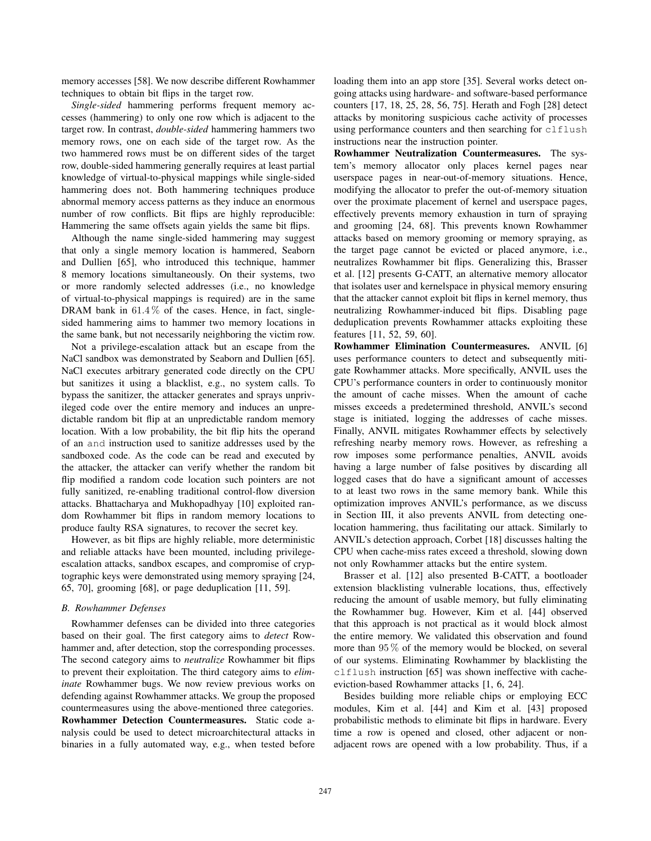memory accesses [58]. We now describe different Rowhammer techniques to obtain bit flips in the target row.

*Single-sided* hammering performs frequent memory accesses (hammering) to only one row which is adjacent to the target row. In contrast, *double-sided* hammering hammers two memory rows, one on each side of the target row. As the two hammered rows must be on different sides of the target row, double-sided hammering generally requires at least partial knowledge of virtual-to-physical mappings while single-sided hammering does not. Both hammering techniques produce abnormal memory access patterns as they induce an enormous number of row conflicts. Bit flips are highly reproducible: Hammering the same offsets again yields the same bit flips.

Although the name single-sided hammering may suggest that only a single memory location is hammered, Seaborn and Dullien [65], who introduced this technique, hammer 8 memory locations simultaneously. On their systems, two or more randomly selected addresses (i.e., no knowledge of virtual-to-physical mappings is required) are in the same DRAM bank in  $61.4\%$  of the cases. Hence, in fact, singlesided hammering aims to hammer two memory locations in the same bank, but not necessarily neighboring the victim row.

Not a privilege-escalation attack but an escape from the NaCl sandbox was demonstrated by Seaborn and Dullien [65]. NaCl executes arbitrary generated code directly on the CPU but sanitizes it using a blacklist, e.g., no system calls. To bypass the sanitizer, the attacker generates and sprays unprivileged code over the entire memory and induces an unpredictable random bit flip at an unpredictable random memory location. With a low probability, the bit flip hits the operand of an and instruction used to sanitize addresses used by the sandboxed code. As the code can be read and executed by the attacker, the attacker can verify whether the random bit flip modified a random code location such pointers are not fully sanitized, re-enabling traditional control-flow diversion attacks. Bhattacharya and Mukhopadhyay [10] exploited random Rowhammer bit flips in random memory locations to produce faulty RSA signatures, to recover the secret key.

However, as bit flips are highly reliable, more deterministic and reliable attacks have been mounted, including privilegeescalation attacks, sandbox escapes, and compromise of cryptographic keys were demonstrated using memory spraying [24, 65, 70], grooming [68], or page deduplication [11, 59].

## *B. Rowhammer Defenses*

Rowhammer defenses can be divided into three categories based on their goal. The first category aims to *detect* Rowhammer and, after detection, stop the corresponding processes. The second category aims to *neutralize* Rowhammer bit flips to prevent their exploitation. The third category aims to *eliminate* Rowhammer bugs. We now review previous works on defending against Rowhammer attacks. We group the proposed countermeasures using the above-mentioned three categories. Rowhammer Detection Countermeasures. Static code analysis could be used to detect microarchitectural attacks in binaries in a fully automated way, e.g., when tested before loading them into an app store [35]. Several works detect ongoing attacks using hardware- and software-based performance counters [17, 18, 25, 28, 56, 75]. Herath and Fogh [28] detect attacks by monitoring suspicious cache activity of processes using performance counters and then searching for clflush instructions near the instruction pointer.

Rowhammer Neutralization Countermeasures. The system's memory allocator only places kernel pages near userspace pages in near-out-of-memory situations. Hence, modifying the allocator to prefer the out-of-memory situation over the proximate placement of kernel and userspace pages, effectively prevents memory exhaustion in turn of spraying and grooming [24, 68]. This prevents known Rowhammer attacks based on memory grooming or memory spraying, as the target page cannot be evicted or placed anymore, i.e., neutralizes Rowhammer bit flips. Generalizing this, Brasser et al. [12] presents G-CATT, an alternative memory allocator that isolates user and kernelspace in physical memory ensuring that the attacker cannot exploit bit flips in kernel memory, thus neutralizing Rowhammer-induced bit flips. Disabling page deduplication prevents Rowhammer attacks exploiting these features [11, 52, 59, 60].

Rowhammer Elimination Countermeasures. ANVIL [6] uses performance counters to detect and subsequently mitigate Rowhammer attacks. More specifically, ANVIL uses the CPU's performance counters in order to continuously monitor the amount of cache misses. When the amount of cache misses exceeds a predetermined threshold, ANVIL's second stage is initiated, logging the addresses of cache misses. Finally, ANVIL mitigates Rowhammer effects by selectively refreshing nearby memory rows. However, as refreshing a row imposes some performance penalties, ANVIL avoids having a large number of false positives by discarding all logged cases that do have a significant amount of accesses to at least two rows in the same memory bank. While this optimization improves ANVIL's performance, as we discuss in Section III, it also prevents ANVIL from detecting onelocation hammering, thus facilitating our attack. Similarly to ANVIL's detection approach, Corbet [18] discusses halting the CPU when cache-miss rates exceed a threshold, slowing down not only Rowhammer attacks but the entire system.

Brasser et al. [12] also presented B-CATT, a bootloader extension blacklisting vulnerable locations, thus, effectively reducing the amount of usable memory, but fully eliminating the Rowhammer bug. However, Kim et al. [44] observed that this approach is not practical as it would block almost the entire memory. We validated this observation and found more than 95 % of the memory would be blocked, on several of our systems. Eliminating Rowhammer by blacklisting the clflush instruction [65] was shown ineffective with cacheeviction-based Rowhammer attacks [1, 6, 24].

Besides building more reliable chips or employing ECC modules, Kim et al. [44] and Kim et al. [43] proposed probabilistic methods to eliminate bit flips in hardware. Every time a row is opened and closed, other adjacent or nonadjacent rows are opened with a low probability. Thus, if a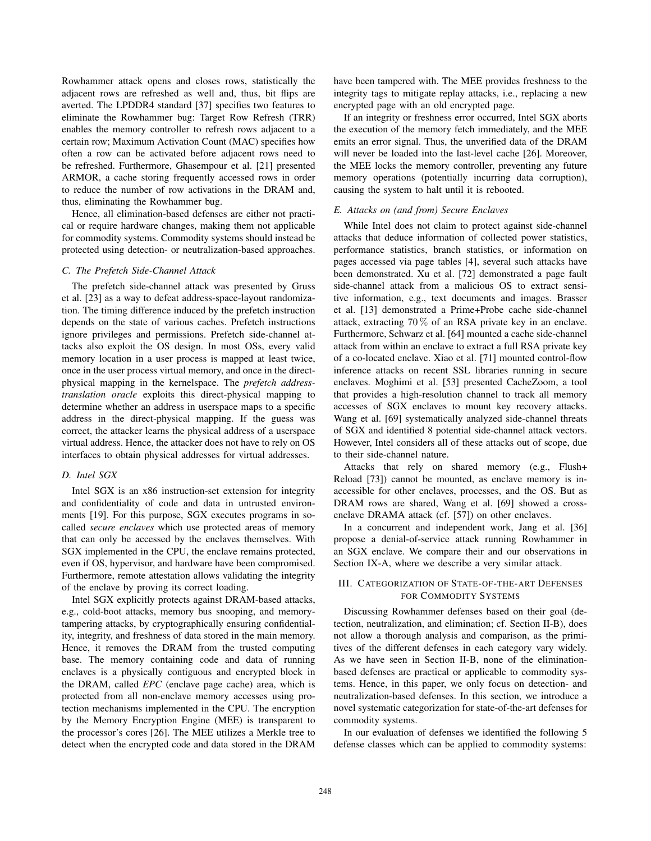Rowhammer attack opens and closes rows, statistically the adjacent rows are refreshed as well and, thus, bit flips are averted. The LPDDR4 standard [37] specifies two features to eliminate the Rowhammer bug: Target Row Refresh (TRR) enables the memory controller to refresh rows adjacent to a certain row; Maximum Activation Count (MAC) specifies how often a row can be activated before adjacent rows need to be refreshed. Furthermore, Ghasempour et al. [21] presented ARMOR, a cache storing frequently accessed rows in order to reduce the number of row activations in the DRAM and, thus, eliminating the Rowhammer bug.

Hence, all elimination-based defenses are either not practical or require hardware changes, making them not applicable for commodity systems. Commodity systems should instead be protected using detection- or neutralization-based approaches.

## *C. The Prefetch Side-Channel Attack*

The prefetch side-channel attack was presented by Gruss et al. [23] as a way to defeat address-space-layout randomization. The timing difference induced by the prefetch instruction depends on the state of various caches. Prefetch instructions ignore privileges and permissions. Prefetch side-channel attacks also exploit the OS design. In most OSs, every valid memory location in a user process is mapped at least twice, once in the user process virtual memory, and once in the directphysical mapping in the kernelspace. The *prefetch addresstranslation oracle* exploits this direct-physical mapping to determine whether an address in userspace maps to a specific address in the direct-physical mapping. If the guess was correct, the attacker learns the physical address of a userspace virtual address. Hence, the attacker does not have to rely on OS interfaces to obtain physical addresses for virtual addresses.

## *D. Intel SGX*

Intel SGX is an x86 instruction-set extension for integrity and confidentiality of code and data in untrusted environments [19]. For this purpose, SGX executes programs in socalled *secure enclaves* which use protected areas of memory that can only be accessed by the enclaves themselves. With SGX implemented in the CPU, the enclave remains protected, even if OS, hypervisor, and hardware have been compromised. Furthermore, remote attestation allows validating the integrity of the enclave by proving its correct loading.

Intel SGX explicitly protects against DRAM-based attacks, e.g., cold-boot attacks, memory bus snooping, and memorytampering attacks, by cryptographically ensuring confidentiality, integrity, and freshness of data stored in the main memory. Hence, it removes the DRAM from the trusted computing base. The memory containing code and data of running enclaves is a physically contiguous and encrypted block in the DRAM, called *EPC* (enclave page cache) area, which is protected from all non-enclave memory accesses using protection mechanisms implemented in the CPU. The encryption by the Memory Encryption Engine (MEE) is transparent to the processor's cores [26]. The MEE utilizes a Merkle tree to detect when the encrypted code and data stored in the DRAM

have been tampered with. The MEE provides freshness to the integrity tags to mitigate replay attacks, i.e., replacing a new encrypted page with an old encrypted page.

If an integrity or freshness error occurred, Intel SGX aborts the execution of the memory fetch immediately, and the MEE emits an error signal. Thus, the unverified data of the DRAM will never be loaded into the last-level cache [26]. Moreover, the MEE locks the memory controller, preventing any future memory operations (potentially incurring data corruption), causing the system to halt until it is rebooted.

## *E. Attacks on (and from) Secure Enclaves*

While Intel does not claim to protect against side-channel attacks that deduce information of collected power statistics, performance statistics, branch statistics, or information on pages accessed via page tables [4], several such attacks have been demonstrated. Xu et al. [72] demonstrated a page fault side-channel attack from a malicious OS to extract sensitive information, e.g., text documents and images. Brasser et al. [13] demonstrated a Prime+Probe cache side-channel attack, extracting 70 % of an RSA private key in an enclave. Furthermore, Schwarz et al. [64] mounted a cache side-channel attack from within an enclave to extract a full RSA private key of a co-located enclave. Xiao et al. [71] mounted control-flow inference attacks on recent SSL libraries running in secure enclaves. Moghimi et al. [53] presented CacheZoom, a tool that provides a high-resolution channel to track all memory accesses of SGX enclaves to mount key recovery attacks. Wang et al. [69] systematically analyzed side-channel threats of SGX and identified 8 potential side-channel attack vectors. However, Intel considers all of these attacks out of scope, due to their side-channel nature.

Attacks that rely on shared memory (e.g., Flush+ Reload [73]) cannot be mounted, as enclave memory is inaccessible for other enclaves, processes, and the OS. But as DRAM rows are shared, Wang et al. [69] showed a crossenclave DRAMA attack (cf. [57]) on other enclaves.

In a concurrent and independent work, Jang et al. [36] propose a denial-of-service attack running Rowhammer in an SGX enclave. We compare their and our observations in Section IX-A, where we describe a very similar attack.

# III. CATEGORIZATION OF STATE-OF-THE-ART DEFENSES FOR COMMODITY SYSTEMS

Discussing Rowhammer defenses based on their goal (detection, neutralization, and elimination; cf. Section II-B), does not allow a thorough analysis and comparison, as the primitives of the different defenses in each category vary widely. As we have seen in Section II-B, none of the eliminationbased defenses are practical or applicable to commodity systems. Hence, in this paper, we only focus on detection- and neutralization-based defenses. In this section, we introduce a novel systematic categorization for state-of-the-art defenses for commodity systems.

In our evaluation of defenses we identified the following 5 defense classes which can be applied to commodity systems: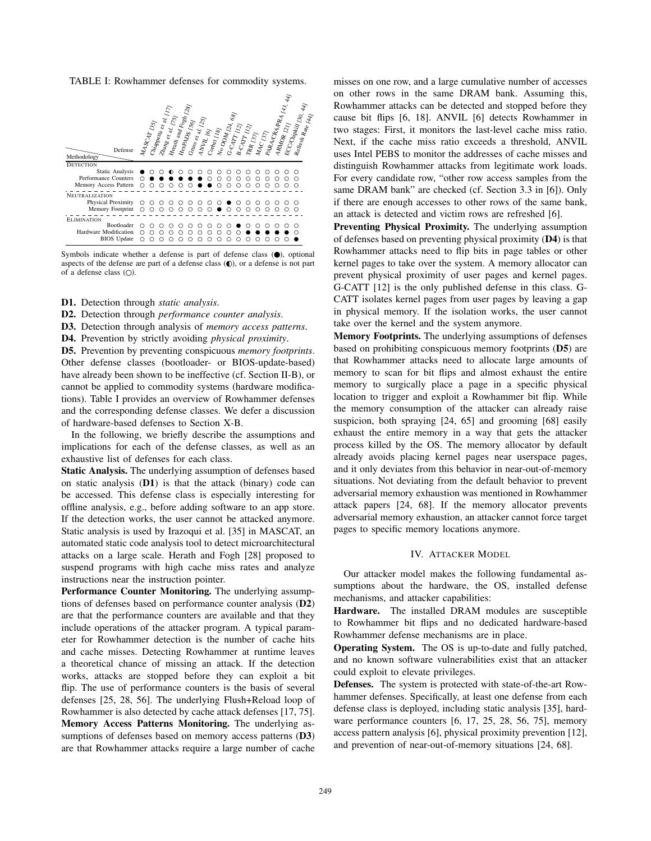TABLE I: Rowhammer defenses for commodity systems.



Symbols indicate whether a defense is part of defense class  $(①)$ , optional aspects of the defense are part of a defense class  $($ 0), or a defense is not part of a defense class  $( \bigcirc )$ .

- D1. Detection through *static analysis*.
- D2. Detection through *performance counter analysis*.
- D3. Detection through analysis of *memory access patterns*.
- D4. Prevention by strictly avoiding *physical proximity*.

D5. Prevention by preventing conspicuous *memory footprints*. Other defense classes (bootloader- or BIOS-update-based) have already been shown to be ineffective (cf. Section II-B), or cannot be applied to commodity systems (hardware modifications). Table I provides an overview of Rowhammer defenses and the corresponding defense classes. We defer a discussion of hardware-based defenses to Section X-B.

In the following, we briefly describe the assumptions and implications for each of the defense classes, as well as an exhaustive list of defenses for each class.

Static Analysis. The underlying assumption of defenses based on static analysis (D1) is that the attack (binary) code can be accessed. This defense class is especially interesting for offline analysis, e.g., before adding software to an app store. If the detection works, the user cannot be attacked anymore. Static analysis is used by Irazoqui et al. [35] in MASCAT, an automated static code analysis tool to detect microarchitectural attacks on a large scale. Herath and Fogh [28] proposed to suspend programs with high cache miss rates and analyze instructions near the instruction pointer.

Performance Counter Monitoring. The underlying assumptions of defenses based on performance counter analysis (D2) are that the performance counters are available and that they include operations of the attacker program. A typical parameter for Rowhammer detection is the number of cache hits and cache misses. Detecting Rowhammer at runtime leaves a theoretical chance of missing an attack. If the detection works, attacks are stopped before they can exploit a bit flip. The use of performance counters is the basis of several defenses [25, 28, 56]. The underlying Flush+Reload loop of Rowhammer is also detected by cache attack defenses [17, 75]. Memory Access Patterns Monitoring. The underlying assumptions of defenses based on memory access patterns (D3) are that Rowhammer attacks require a large number of cache

misses on one row, and a large cumulative number of accesses on other rows in the same DRAM bank. Assuming this, Rowhammer attacks can be detected and stopped before they cause bit flips [6, 18]. ANVIL [6] detects Rowhammer in two stages: First, it monitors the last-level cache miss ratio. Next, if the cache miss ratio exceeds a threshold, ANVIL uses Intel PEBS to monitor the addresses of cache misses and distinguish Rowhammer attacks from legitimate work loads. For every candidate row, "other row access samples from the same DRAM bank" are checked (cf. Section 3.3 in [6]). Only if there are enough accesses to other rows of the same bank, an attack is detected and victim rows are refreshed [6].

Preventing Physical Proximity. The underlying assumption of defenses based on preventing physical proximity (D4) is that Rowhammer attacks need to flip bits in page tables or other kernel pages to take over the system. A memory allocator can prevent physical proximity of user pages and kernel pages. G-CATT [12] is the only published defense in this class. G-CATT isolates kernel pages from user pages by leaving a gap in physical memory. If the isolation works, the user cannot take over the kernel and the system anymore.

Memory Footprints. The underlying assumptions of defenses based on prohibiting conspicuous memory footprints (D5) are that Rowhammer attacks need to allocate large amounts of memory to scan for bit flips and almost exhaust the entire memory to surgically place a page in a specific physical location to trigger and exploit a Rowhammer bit flip. While the memory consumption of the attacker can already raise suspicion, both spraying [24, 65] and grooming [68] easily exhaust the entire memory in a way that gets the attacker process killed by the OS. The memory allocator by default already avoids placing kernel pages near userspace pages, and it only deviates from this behavior in near-out-of-memory situations. Not deviating from the default behavior to prevent adversarial memory exhaustion was mentioned in Rowhammer attack papers [24, 68]. If the memory allocator prevents adversarial memory exhaustion, an attacker cannot force target pages to specific memory locations anymore.

## IV. ATTACKER MODEL

Our attacker model makes the following fundamental assumptions about the hardware, the OS, installed defense mechanisms, and attacker capabilities:

Hardware. The installed DRAM modules are susceptible to Rowhammer bit flips and no dedicated hardware-based Rowhammer defense mechanisms are in place.

Operating System. The OS is up-to-date and fully patched, and no known software vulnerabilities exist that an attacker could exploit to elevate privileges.

Defenses. The system is protected with state-of-the-art Rowhammer defenses. Specifically, at least one defense from each defense class is deployed, including static analysis [35], hardware performance counters [6, 17, 25, 28, 56, 75], memory access pattern analysis [6], physical proximity prevention [12], and prevention of near-out-of-memory situations [24, 68].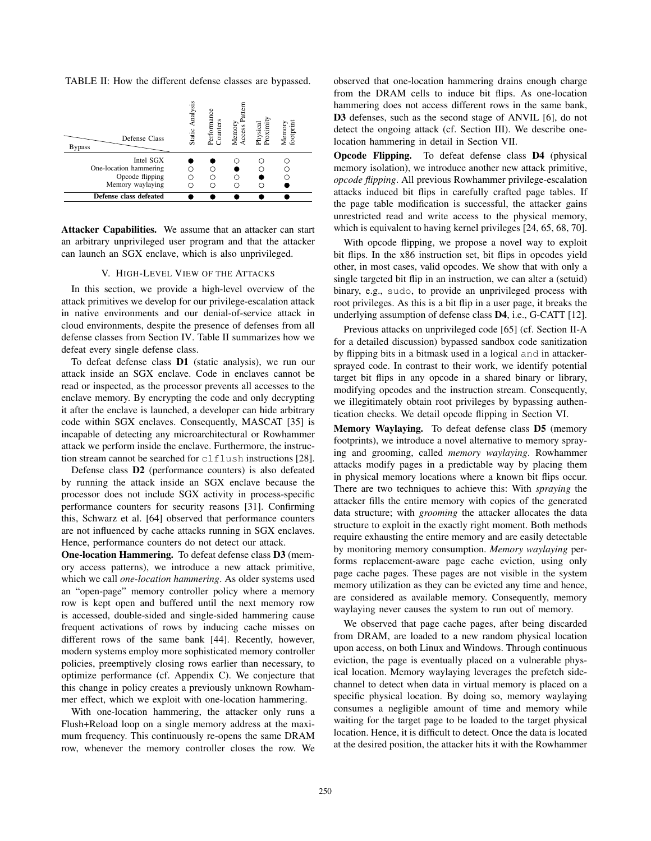TABLE II: How the different defense classes are bypassed.



Attacker Capabilities. We assume that an attacker can start an arbitrary unprivileged user program and that the attacker can launch an SGX enclave, which is also unprivileged.

## V. HIGH-LEVEL VIEW OF THE ATTACKS

In this section, we provide a high-level overview of the attack primitives we develop for our privilege-escalation attack in native environments and our denial-of-service attack in cloud environments, despite the presence of defenses from all defense classes from Section IV. Table II summarizes how we defeat every single defense class.

To defeat defense class D1 (static analysis), we run our attack inside an SGX enclave. Code in enclaves cannot be read or inspected, as the processor prevents all accesses to the enclave memory. By encrypting the code and only decrypting it after the enclave is launched, a developer can hide arbitrary code within SGX enclaves. Consequently, MASCAT [35] is incapable of detecting any microarchitectural or Rowhammer attack we perform inside the enclave. Furthermore, the instruction stream cannot be searched for clflush instructions [28].

Defense class D2 (performance counters) is also defeated by running the attack inside an SGX enclave because the processor does not include SGX activity in process-specific performance counters for security reasons [31]. Confirming this, Schwarz et al. [64] observed that performance counters are not influenced by cache attacks running in SGX enclaves. Hence, performance counters do not detect our attack.

One-location Hammering. To defeat defense class D3 (memory access patterns), we introduce a new attack primitive, which we call *one-location hammering*. As older systems used an "open-page" memory controller policy where a memory row is kept open and buffered until the next memory row is accessed, double-sided and single-sided hammering cause frequent activations of rows by inducing cache misses on different rows of the same bank [44]. Recently, however, modern systems employ more sophisticated memory controller policies, preemptively closing rows earlier than necessary, to optimize performance (cf. Appendix C). We conjecture that this change in policy creates a previously unknown Rowhammer effect, which we exploit with one-location hammering.

With one-location hammering, the attacker only runs a Flush+Reload loop on a single memory address at the maximum frequency. This continuously re-opens the same DRAM row, whenever the memory controller closes the row. We

observed that one-location hammering drains enough charge from the DRAM cells to induce bit flips. As one-location hammering does not access different rows in the same bank, D3 defenses, such as the second stage of ANVIL [6], do not detect the ongoing attack (cf. Section III). We describe onelocation hammering in detail in Section VII.

Opcode Flipping. To defeat defense class D4 (physical memory isolation), we introduce another new attack primitive, *opcode flipping*. All previous Rowhammer privilege-escalation attacks induced bit flips in carefully crafted page tables. If the page table modification is successful, the attacker gains unrestricted read and write access to the physical memory, which is equivalent to having kernel privileges [24, 65, 68, 70].

With opcode flipping, we propose a novel way to exploit bit flips. In the x86 instruction set, bit flips in opcodes yield other, in most cases, valid opcodes. We show that with only a single targeted bit flip in an instruction, we can alter a (setuid) binary, e.g., sudo, to provide an unprivileged process with root privileges. As this is a bit flip in a user page, it breaks the underlying assumption of defense class D4, i.e., G-CATT [12].

Previous attacks on unprivileged code [65] (cf. Section II-A for a detailed discussion) bypassed sandbox code sanitization by flipping bits in a bitmask used in a logical and in attackersprayed code. In contrast to their work, we identify potential target bit flips in any opcode in a shared binary or library, modifying opcodes and the instruction stream. Consequently, we illegitimately obtain root privileges by bypassing authentication checks. We detail opcode flipping in Section VI.

Memory Waylaying. To defeat defense class D5 (memory footprints), we introduce a novel alternative to memory spraying and grooming, called *memory waylaying*. Rowhammer attacks modify pages in a predictable way by placing them in physical memory locations where a known bit flips occur. There are two techniques to achieve this: With *spraying* the attacker fills the entire memory with copies of the generated data structure; with *grooming* the attacker allocates the data structure to exploit in the exactly right moment. Both methods require exhausting the entire memory and are easily detectable by monitoring memory consumption. *Memory waylaying* performs replacement-aware page cache eviction, using only page cache pages. These pages are not visible in the system memory utilization as they can be evicted any time and hence, are considered as available memory. Consequently, memory waylaying never causes the system to run out of memory.

We observed that page cache pages, after being discarded from DRAM, are loaded to a new random physical location upon access, on both Linux and Windows. Through continuous eviction, the page is eventually placed on a vulnerable physical location. Memory waylaying leverages the prefetch sidechannel to detect when data in virtual memory is placed on a specific physical location. By doing so, memory waylaying consumes a negligible amount of time and memory while waiting for the target page to be loaded to the target physical location. Hence, it is difficult to detect. Once the data is located at the desired position, the attacker hits it with the Rowhammer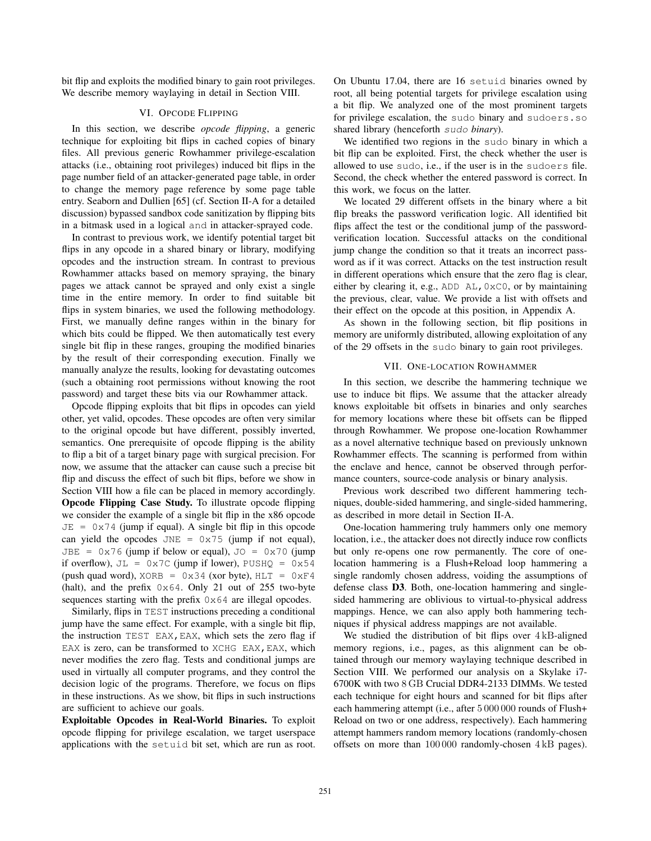bit flip and exploits the modified binary to gain root privileges. We describe memory waylaying in detail in Section VIII.

# VI. OPCODE FLIPPING

In this section, we describe *opcode flipping*, a generic technique for exploiting bit flips in cached copies of binary files. All previous generic Rowhammer privilege-escalation attacks (i.e., obtaining root privileges) induced bit flips in the page number field of an attacker-generated page table, in order to change the memory page reference by some page table entry. Seaborn and Dullien [65] (cf. Section II-A for a detailed discussion) bypassed sandbox code sanitization by flipping bits in a bitmask used in a logical and in attacker-sprayed code.

In contrast to previous work, we identify potential target bit flips in any opcode in a shared binary or library, modifying opcodes and the instruction stream. In contrast to previous Rowhammer attacks based on memory spraying, the binary pages we attack cannot be sprayed and only exist a single time in the entire memory. In order to find suitable bit flips in system binaries, we used the following methodology. First, we manually define ranges within in the binary for which bits could be flipped. We then automatically test every single bit flip in these ranges, grouping the modified binaries by the result of their corresponding execution. Finally we manually analyze the results, looking for devastating outcomes (such a obtaining root permissions without knowing the root password) and target these bits via our Rowhammer attack.

Opcode flipping exploits that bit flips in opcodes can yield other, yet valid, opcodes. These opcodes are often very similar to the original opcode but have different, possibly inverted, semantics. One prerequisite of opcode flipping is the ability to flip a bit of a target binary page with surgical precision. For now, we assume that the attacker can cause such a precise bit flip and discuss the effect of such bit flips, before we show in Section VIII how a file can be placed in memory accordingly. Opcode Flipping Case Study. To illustrate opcode flipping we consider the example of a single bit flip in the x86 opcode  $JE = 0x74$  (jump if equal). A single bit flip in this opcode can yield the opcodes  $JNE = 0 \times 75$  (jump if not equal),  $JBE = 0x76$  (jump if below or equal),  $JO = 0x70$  (jump if overflow),  $JL = 0x7C$  (jump if lower), PUSHQ =  $0x54$ (push quad word),  $XORB = 0 \times 34$  (xor byte),  $HLT = 0 \times F4$ (halt), and the prefix 0x64. Only 21 out of 255 two-byte sequences starting with the prefix  $0 \times 64$  are illegal opcodes.

Similarly, flips in TEST instructions preceding a conditional jump have the same effect. For example, with a single bit flip, the instruction TEST EAX, EAX, which sets the zero flag if EAX is zero, can be transformed to XCHG EAX, EAX, which never modifies the zero flag. Tests and conditional jumps are used in virtually all computer programs, and they control the decision logic of the programs. Therefore, we focus on flips in these instructions. As we show, bit flips in such instructions are sufficient to achieve our goals.

Exploitable Opcodes in Real-World Binaries. To exploit opcode flipping for privilege escalation, we target userspace applications with the setuid bit set, which are run as root. On Ubuntu 17.04, there are 16 setuid binaries owned by root, all being potential targets for privilege escalation using a bit flip. We analyzed one of the most prominent targets for privilege escalation, the sudo binary and sudoers.so shared library (henceforth sudo *binary*).

We identified two regions in the sudo binary in which a bit flip can be exploited. First, the check whether the user is allowed to use sudo, i.e., if the user is in the sudoers file. Second, the check whether the entered password is correct. In this work, we focus on the latter.

We located 29 different offsets in the binary where a bit flip breaks the password verification logic. All identified bit flips affect the test or the conditional jump of the passwordverification location. Successful attacks on the conditional jump change the condition so that it treats an incorrect password as if it was correct. Attacks on the test instruction result in different operations which ensure that the zero flag is clear, either by clearing it, e.g., ADD AL, 0xC0, or by maintaining the previous, clear, value. We provide a list with offsets and their effect on the opcode at this position, in Appendix A.

As shown in the following section, bit flip positions in memory are uniformly distributed, allowing exploitation of any of the 29 offsets in the sudo binary to gain root privileges.

## VII. ONE-LOCATION ROWHAMMER

In this section, we describe the hammering technique we use to induce bit flips. We assume that the attacker already knows exploitable bit offsets in binaries and only searches for memory locations where these bit offsets can be flipped through Rowhammer. We propose one-location Rowhammer as a novel alternative technique based on previously unknown Rowhammer effects. The scanning is performed from within the enclave and hence, cannot be observed through performance counters, source-code analysis or binary analysis.

Previous work described two different hammering techniques, double-sided hammering, and single-sided hammering, as described in more detail in Section II-A.

One-location hammering truly hammers only one memory location, i.e., the attacker does not directly induce row conflicts but only re-opens one row permanently. The core of onelocation hammering is a Flush+Reload loop hammering a single randomly chosen address, voiding the assumptions of defense class D3. Both, one-location hammering and singlesided hammering are oblivious to virtual-to-physical address mappings. Hence, we can also apply both hammering techniques if physical address mappings are not available.

We studied the distribution of bit flips over 4 kB-aligned memory regions, i.e., pages, as this alignment can be obtained through our memory waylaying technique described in Section VIII. We performed our analysis on a Skylake i7- 6700K with two 8 GB Crucial DDR4-2133 DIMMs. We tested each technique for eight hours and scanned for bit flips after each hammering attempt (i.e., after 5 000 000 rounds of Flush+ Reload on two or one address, respectively). Each hammering attempt hammers random memory locations (randomly-chosen offsets on more than 100 000 randomly-chosen 4 kB pages).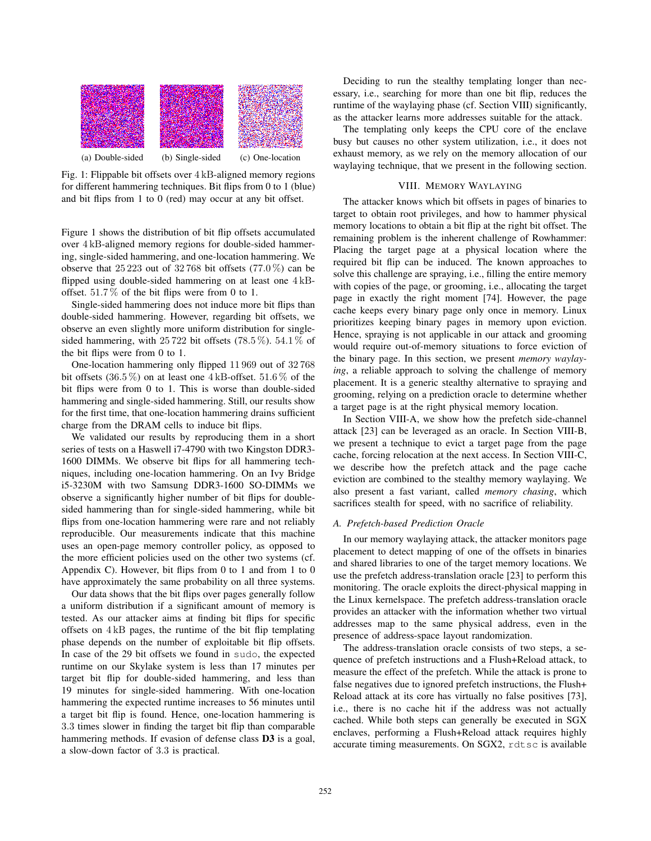

Fig. 1: Flippable bit offsets over 4 kB-aligned memory regions for different hammering techniques. Bit flips from 0 to 1 (blue) and bit flips from 1 to 0 (red) may occur at any bit offset.

Figure 1 shows the distribution of bit flip offsets accumulated over 4 kB-aligned memory regions for double-sided hammering, single-sided hammering, and one-location hammering. We observe that 25 223 out of 32 768 bit offsets (77.0 %) can be flipped using double-sided hammering on at least one  $4kB$ offset. 51.7 % of the bit flips were from 0 to 1.

Single-sided hammering does not induce more bit flips than double-sided hammering. However, regarding bit offsets, we observe an even slightly more uniform distribution for singlesided hammering, with 25 722 bit offsets (78.5 %). 54.1 % of the bit flips were from 0 to 1.

One-location hammering only flipped 11 969 out of 32 768 bit offsets (36.5%) on at least one  $4 \text{ kB}-\text{offset}$ . 51.6% of the bit flips were from 0 to 1. This is worse than double-sided hammering and single-sided hammering. Still, our results show for the first time, that one-location hammering drains sufficient charge from the DRAM cells to induce bit flips.

We validated our results by reproducing them in a short series of tests on a Haswell i7-4790 with two Kingston DDR3- 1600 DIMMs. We observe bit flips for all hammering techniques, including one-location hammering. On an Ivy Bridge i5-3230M with two Samsung DDR3-1600 SO-DIMMs we observe a significantly higher number of bit flips for doublesided hammering than for single-sided hammering, while bit flips from one-location hammering were rare and not reliably reproducible. Our measurements indicate that this machine uses an open-page memory controller policy, as opposed to the more efficient policies used on the other two systems (cf. Appendix C). However, bit flips from 0 to 1 and from 1 to 0 have approximately the same probability on all three systems.

Our data shows that the bit flips over pages generally follow a uniform distribution if a significant amount of memory is tested. As our attacker aims at finding bit flips for specific offsets on 4 kB pages, the runtime of the bit flip templating phase depends on the number of exploitable bit flip offsets. In case of the 29 bit offsets we found in sudo, the expected runtime on our Skylake system is less than 17 minutes per target bit flip for double-sided hammering, and less than 19 minutes for single-sided hammering. With one-location hammering the expected runtime increases to 56 minutes until a target bit flip is found. Hence, one-location hammering is 3.3 times slower in finding the target bit flip than comparable hammering methods. If evasion of defense class **D3** is a goal, a slow-down factor of 3.3 is practical.

Deciding to run the stealthy templating longer than necessary, i.e., searching for more than one bit flip, reduces the runtime of the waylaying phase (cf. Section VIII) significantly, as the attacker learns more addresses suitable for the attack.

The templating only keeps the CPU core of the enclave busy but causes no other system utilization, i.e., it does not exhaust memory, as we rely on the memory allocation of our waylaying technique, that we present in the following section.

## VIII. MEMORY WAYLAYING

The attacker knows which bit offsets in pages of binaries to target to obtain root privileges, and how to hammer physical memory locations to obtain a bit flip at the right bit offset. The remaining problem is the inherent challenge of Rowhammer: Placing the target page at a physical location where the required bit flip can be induced. The known approaches to solve this challenge are spraying, i.e., filling the entire memory with copies of the page, or grooming, i.e., allocating the target page in exactly the right moment [74]. However, the page cache keeps every binary page only once in memory. Linux prioritizes keeping binary pages in memory upon eviction. Hence, spraying is not applicable in our attack and grooming would require out-of-memory situations to force eviction of the binary page. In this section, we present *memory waylaying*, a reliable approach to solving the challenge of memory placement. It is a generic stealthy alternative to spraying and grooming, relying on a prediction oracle to determine whether a target page is at the right physical memory location.

In Section VIII-A, we show how the prefetch side-channel attack [23] can be leveraged as an oracle. In Section VIII-B, we present a technique to evict a target page from the page cache, forcing relocation at the next access. In Section VIII-C, we describe how the prefetch attack and the page cache eviction are combined to the stealthy memory waylaying. We also present a fast variant, called *memory chasing*, which sacrifices stealth for speed, with no sacrifice of reliability.

#### *A. Prefetch-based Prediction Oracle*

In our memory waylaying attack, the attacker monitors page placement to detect mapping of one of the offsets in binaries and shared libraries to one of the target memory locations. We use the prefetch address-translation oracle [23] to perform this monitoring. The oracle exploits the direct-physical mapping in the Linux kernelspace. The prefetch address-translation oracle provides an attacker with the information whether two virtual addresses map to the same physical address, even in the presence of address-space layout randomization.

The address-translation oracle consists of two steps, a sequence of prefetch instructions and a Flush+Reload attack, to measure the effect of the prefetch. While the attack is prone to false negatives due to ignored prefetch instructions, the Flush+ Reload attack at its core has virtually no false positives [73], i.e., there is no cache hit if the address was not actually cached. While both steps can generally be executed in SGX enclaves, performing a Flush+Reload attack requires highly accurate timing measurements. On SGX2, rdtsc is available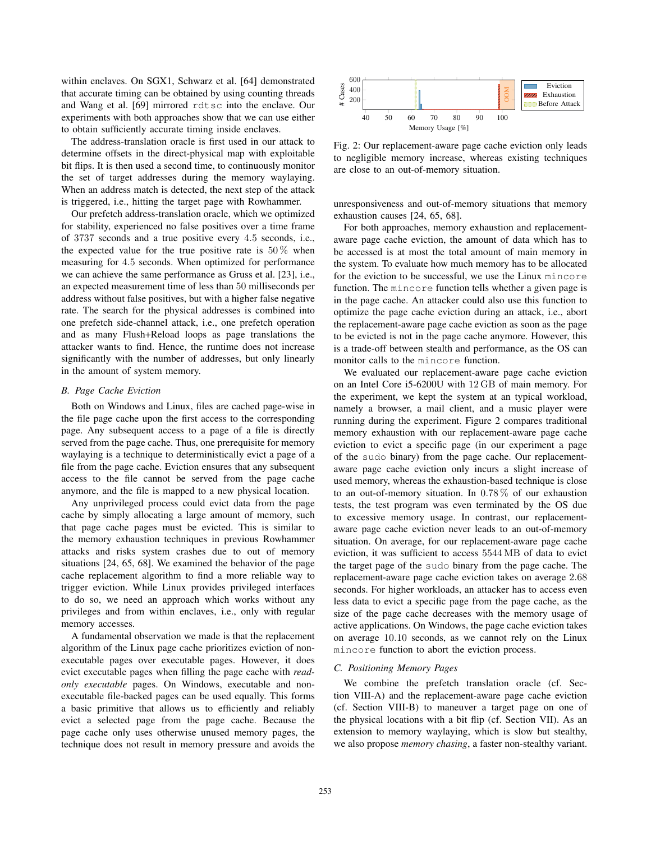within enclaves. On SGX1, Schwarz et al. [64] demonstrated that accurate timing can be obtained by using counting threads and Wang et al. [69] mirrored rdtsc into the enclave. Our experiments with both approaches show that we can use either to obtain sufficiently accurate timing inside enclaves.

The address-translation oracle is first used in our attack to determine offsets in the direct-physical map with exploitable bit flips. It is then used a second time, to continuously monitor the set of target addresses during the memory waylaying. When an address match is detected, the next step of the attack is triggered, i.e., hitting the target page with Rowhammer.

Our prefetch address-translation oracle, which we optimized for stability, experienced no false positives over a time frame of 3737 seconds and a true positive every 4.5 seconds, i.e., the expected value for the true positive rate is  $50\%$  when measuring for 4.5 seconds. When optimized for performance we can achieve the same performance as Gruss et al. [23], i.e., an expected measurement time of less than 50 milliseconds per address without false positives, but with a higher false negative rate. The search for the physical addresses is combined into one prefetch side-channel attack, i.e., one prefetch operation and as many Flush+Reload loops as page translations the attacker wants to find. Hence, the runtime does not increase significantly with the number of addresses, but only linearly in the amount of system memory.

# *B. Page Cache Eviction*

Both on Windows and Linux, files are cached page-wise in the file page cache upon the first access to the corresponding page. Any subsequent access to a page of a file is directly served from the page cache. Thus, one prerequisite for memory waylaying is a technique to deterministically evict a page of a file from the page cache. Eviction ensures that any subsequent access to the file cannot be served from the page cache anymore, and the file is mapped to a new physical location.

Any unprivileged process could evict data from the page cache by simply allocating a large amount of memory, such that page cache pages must be evicted. This is similar to the memory exhaustion techniques in previous Rowhammer attacks and risks system crashes due to out of memory situations [24, 65, 68]. We examined the behavior of the page cache replacement algorithm to find a more reliable way to trigger eviction. While Linux provides privileged interfaces to do so, we need an approach which works without any privileges and from within enclaves, i.e., only with regular memory accesses.

A fundamental observation we made is that the replacement algorithm of the Linux page cache prioritizes eviction of nonexecutable pages over executable pages. However, it does evict executable pages when filling the page cache with *readonly executable* pages. On Windows, executable and nonexecutable file-backed pages can be used equally. This forms a basic primitive that allows us to efficiently and reliably evict a selected page from the page cache. Because the page cache only uses otherwise unused memory pages, the technique does not result in memory pressure and avoids the



Fig. 2: Our replacement-aware page cache eviction only leads to negligible memory increase, whereas existing techniques are close to an out-of-memory situation.

unresponsiveness and out-of-memory situations that memory exhaustion causes [24, 65, 68].

For both approaches, memory exhaustion and replacementaware page cache eviction, the amount of data which has to be accessed is at most the total amount of main memory in the system. To evaluate how much memory has to be allocated for the eviction to be successful, we use the Linux mincore function. The mincore function tells whether a given page is in the page cache. An attacker could also use this function to optimize the page cache eviction during an attack, i.e., abort the replacement-aware page cache eviction as soon as the page to be evicted is not in the page cache anymore. However, this is a trade-off between stealth and performance, as the OS can monitor calls to the mincore function.

We evaluated our replacement-aware page cache eviction on an Intel Core i5-6200U with 12 GB of main memory. For the experiment, we kept the system at an typical workload, namely a browser, a mail client, and a music player were running during the experiment. Figure 2 compares traditional memory exhaustion with our replacement-aware page cache eviction to evict a specific page (in our experiment a page of the sudo binary) from the page cache. Our replacementaware page cache eviction only incurs a slight increase of used memory, whereas the exhaustion-based technique is close to an out-of-memory situation. In  $0.78\%$  of our exhaustion tests, the test program was even terminated by the OS due to excessive memory usage. In contrast, our replacementaware page cache eviction never leads to an out-of-memory situation. On average, for our replacement-aware page cache eviction, it was sufficient to access 5544 MB of data to evict the target page of the sudo binary from the page cache. The replacement-aware page cache eviction takes on average 2.68 seconds. For higher workloads, an attacker has to access even less data to evict a specific page from the page cache, as the size of the page cache decreases with the memory usage of active applications. On Windows, the page cache eviction takes on average 10.10 seconds, as we cannot rely on the Linux mincore function to abort the eviction process.

## *C. Positioning Memory Pages*

We combine the prefetch translation oracle (cf. Section VIII-A) and the replacement-aware page cache eviction (cf. Section VIII-B) to maneuver a target page on one of the physical locations with a bit flip (cf. Section VII). As an extension to memory waylaying, which is slow but stealthy, we also propose *memory chasing*, a faster non-stealthy variant.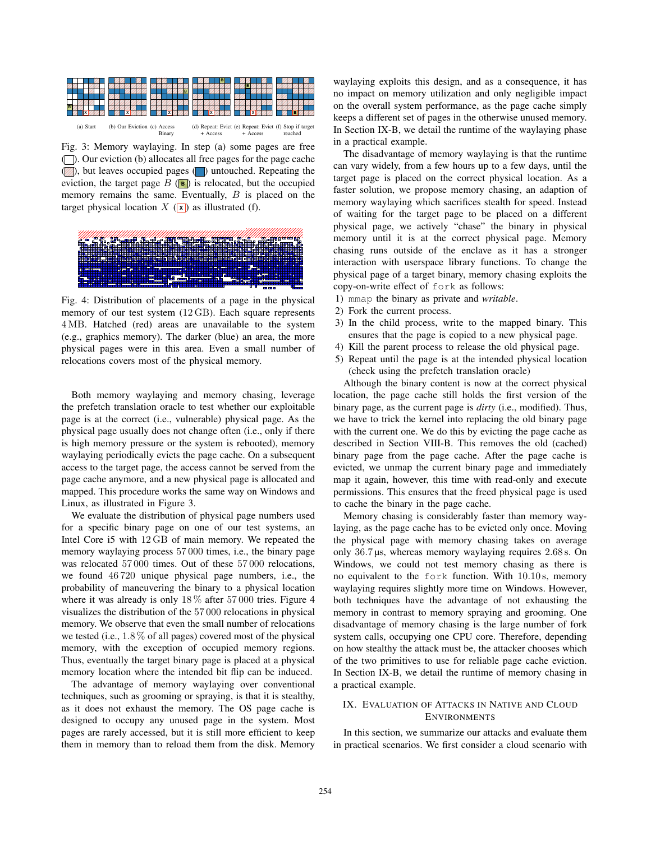

+ Access

+ Access

reached

Fig. 3: Memory waylaying. In step (a) some pages are free  $\Box$ . Our eviction (b) allocates all free pages for the page cache  $(\mathbb{Z})$ , but leaves occupied pages  $(\mathbb{T})$  untouched. Repeating the eviction, the target page  $B(\mathbf{B})$  is relocated, but the occupied memory remains the same. Eventually,  $B$  is placed on the target physical location  $X(\overline{x})$  as illustrated (f).

Binary



Fig. 4: Distribution of placements of a page in the physical memory of our test system (12 GB). Each square represents 4 MB. Hatched (red) areas are unavailable to the system (e.g., graphics memory). The darker (blue) an area, the more physical pages were in this area. Even a small number of relocations covers most of the physical memory.

Both memory waylaying and memory chasing, leverage the prefetch translation oracle to test whether our exploitable page is at the correct (i.e., vulnerable) physical page. As the physical page usually does not change often (i.e., only if there is high memory pressure or the system is rebooted), memory waylaying periodically evicts the page cache. On a subsequent access to the target page, the access cannot be served from the page cache anymore, and a new physical page is allocated and mapped. This procedure works the same way on Windows and Linux, as illustrated in Figure 3.

We evaluate the distribution of physical page numbers used for a specific binary page on one of our test systems, an Intel Core i5 with 12 GB of main memory. We repeated the memory waylaying process 57 000 times, i.e., the binary page was relocated 57 000 times. Out of these 57 000 relocations, we found 46 720 unique physical page numbers, i.e., the probability of maneuvering the binary to a physical location where it was already is only  $18\%$  after 57 000 tries. Figure 4 visualizes the distribution of the 57 000 relocations in physical memory. We observe that even the small number of relocations we tested (i.e., 1.8 % of all pages) covered most of the physical memory, with the exception of occupied memory regions. Thus, eventually the target binary page is placed at a physical memory location where the intended bit flip can be induced.

The advantage of memory waylaying over conventional techniques, such as grooming or spraying, is that it is stealthy, as it does not exhaust the memory. The OS page cache is designed to occupy any unused page in the system. Most pages are rarely accessed, but it is still more efficient to keep them in memory than to reload them from the disk. Memory

waylaying exploits this design, and as a consequence, it has no impact on memory utilization and only negligible impact on the overall system performance, as the page cache simply keeps a different set of pages in the otherwise unused memory. In Section IX-B, we detail the runtime of the waylaying phase in a practical example.

The disadvantage of memory waylaying is that the runtime can vary widely, from a few hours up to a few days, until the target page is placed on the correct physical location. As a faster solution, we propose memory chasing, an adaption of memory waylaying which sacrifices stealth for speed. Instead of waiting for the target page to be placed on a different physical page, we actively "chase" the binary in physical memory until it is at the correct physical page. Memory chasing runs outside of the enclave as it has a stronger interaction with userspace library functions. To change the physical page of a target binary, memory chasing exploits the copy-on-write effect of fork as follows:

- 1) mmap the binary as private and *writable*.
- 2) Fork the current process.
- 3) In the child process, write to the mapped binary. This ensures that the page is copied to a new physical page.
- 4) Kill the parent process to release the old physical page.
- 5) Repeat until the page is at the intended physical location (check using the prefetch translation oracle)

Although the binary content is now at the correct physical location, the page cache still holds the first version of the binary page, as the current page is *dirty* (i.e., modified). Thus, we have to trick the kernel into replacing the old binary page with the current one. We do this by evicting the page cache as described in Section VIII-B. This removes the old (cached) binary page from the page cache. After the page cache is evicted, we unmap the current binary page and immediately map it again, however, this time with read-only and execute permissions. This ensures that the freed physical page is used to cache the binary in the page cache.

Memory chasing is considerably faster than memory waylaying, as the page cache has to be evicted only once. Moving the physical page with memory chasing takes on average only 36.7 μs, whereas memory waylaying requires 2.68 s. On Windows, we could not test memory chasing as there is no equivalent to the fork function. With 10.10 s, memory waylaying requires slightly more time on Windows. However, both techniques have the advantage of not exhausting the memory in contrast to memory spraying and grooming. One disadvantage of memory chasing is the large number of fork system calls, occupying one CPU core. Therefore, depending on how stealthy the attack must be, the attacker chooses which of the two primitives to use for reliable page cache eviction. In Section IX-B, we detail the runtime of memory chasing in a practical example.

# IX. EVALUATION OF ATTACKS IN NATIVE AND CLOUD **ENVIRONMENTS**

In this section, we summarize our attacks and evaluate them in practical scenarios. We first consider a cloud scenario with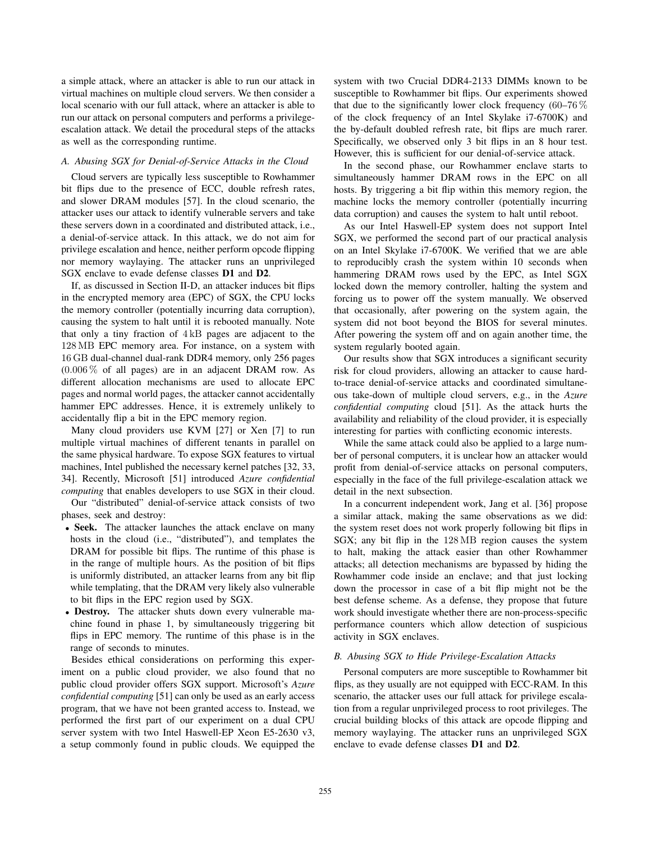a simple attack, where an attacker is able to run our attack in virtual machines on multiple cloud servers. We then consider a local scenario with our full attack, where an attacker is able to run our attack on personal computers and performs a privilegeescalation attack. We detail the procedural steps of the attacks as well as the corresponding runtime.

## *A. Abusing SGX for Denial-of-Service Attacks in the Cloud*

Cloud servers are typically less susceptible to Rowhammer bit flips due to the presence of ECC, double refresh rates, and slower DRAM modules [57]. In the cloud scenario, the attacker uses our attack to identify vulnerable servers and take these servers down in a coordinated and distributed attack, i.e., a denial-of-service attack. In this attack, we do not aim for privilege escalation and hence, neither perform opcode flipping nor memory waylaying. The attacker runs an unprivileged SGX enclave to evade defense classes D1 and D2.

If, as discussed in Section II-D, an attacker induces bit flips in the encrypted memory area (EPC) of SGX, the CPU locks the memory controller (potentially incurring data corruption), causing the system to halt until it is rebooted manually. Note that only a tiny fraction of 4 kB pages are adjacent to the 128 MB EPC memory area. For instance, on a system with 16 GB dual-channel dual-rank DDR4 memory, only 256 pages  $(0.006\%$  of all pages) are in an adjacent DRAM row. As different allocation mechanisms are used to allocate EPC pages and normal world pages, the attacker cannot accidentally hammer EPC addresses. Hence, it is extremely unlikely to accidentally flip a bit in the EPC memory region.

Many cloud providers use KVM [27] or Xen [7] to run multiple virtual machines of different tenants in parallel on the same physical hardware. To expose SGX features to virtual machines, Intel published the necessary kernel patches [32, 33, 34]. Recently, Microsoft [51] introduced *Azure confidential computing* that enables developers to use SGX in their cloud.

Our "distributed" denial-of-service attack consists of two phases, seek and destroy:

- Seek. The attacker launches the attack enclave on many hosts in the cloud (i.e., "distributed"), and templates the DRAM for possible bit flips. The runtime of this phase is in the range of multiple hours. As the position of bit flips is uniformly distributed, an attacker learns from any bit flip while templating, that the DRAM very likely also vulnerable to bit flips in the EPC region used by SGX.
- Destroy. The attacker shuts down every vulnerable machine found in phase 1, by simultaneously triggering bit flips in EPC memory. The runtime of this phase is in the range of seconds to minutes.

Besides ethical considerations on performing this experiment on a public cloud provider, we also found that no public cloud provider offers SGX support. Microsoft's *Azure confidential computing* [51] can only be used as an early access program, that we have not been granted access to. Instead, we performed the first part of our experiment on a dual CPU server system with two Intel Haswell-EP Xeon E5-2630 v3, a setup commonly found in public clouds. We equipped the

system with two Crucial DDR4-2133 DIMMs known to be susceptible to Rowhammer bit flips. Our experiments showed that due to the significantly lower clock frequency  $(60-76\%)$ of the clock frequency of an Intel Skylake i7-6700K) and the by-default doubled refresh rate, bit flips are much rarer. Specifically, we observed only 3 bit flips in an 8 hour test. However, this is sufficient for our denial-of-service attack.

In the second phase, our Rowhammer enclave starts to simultaneously hammer DRAM rows in the EPC on all hosts. By triggering a bit flip within this memory region, the machine locks the memory controller (potentially incurring data corruption) and causes the system to halt until reboot.

As our Intel Haswell-EP system does not support Intel SGX, we performed the second part of our practical analysis on an Intel Skylake i7-6700K. We verified that we are able to reproducibly crash the system within 10 seconds when hammering DRAM rows used by the EPC, as Intel SGX locked down the memory controller, halting the system and forcing us to power off the system manually. We observed that occasionally, after powering on the system again, the system did not boot beyond the BIOS for several minutes. After powering the system off and on again another time, the system regularly booted again.

Our results show that SGX introduces a significant security risk for cloud providers, allowing an attacker to cause hardto-trace denial-of-service attacks and coordinated simultaneous take-down of multiple cloud servers, e.g., in the *Azure confidential computing* cloud [51]. As the attack hurts the availability and reliability of the cloud provider, it is especially interesting for parties with conflicting economic interests.

While the same attack could also be applied to a large number of personal computers, it is unclear how an attacker would profit from denial-of-service attacks on personal computers, especially in the face of the full privilege-escalation attack we detail in the next subsection.

In a concurrent independent work, Jang et al. [36] propose a similar attack, making the same observations as we did: the system reset does not work properly following bit flips in SGX; any bit flip in the 128 MB region causes the system to halt, making the attack easier than other Rowhammer attacks; all detection mechanisms are bypassed by hiding the Rowhammer code inside an enclave; and that just locking down the processor in case of a bit flip might not be the best defense scheme. As a defense, they propose that future work should investigate whether there are non-process-specific performance counters which allow detection of suspicious activity in SGX enclaves.

## *B. Abusing SGX to Hide Privilege-Escalation Attacks*

Personal computers are more susceptible to Rowhammer bit flips, as they usually are not equipped with ECC-RAM. In this scenario, the attacker uses our full attack for privilege escalation from a regular unprivileged process to root privileges. The crucial building blocks of this attack are opcode flipping and memory waylaying. The attacker runs an unprivileged SGX enclave to evade defense classes D1 and D2.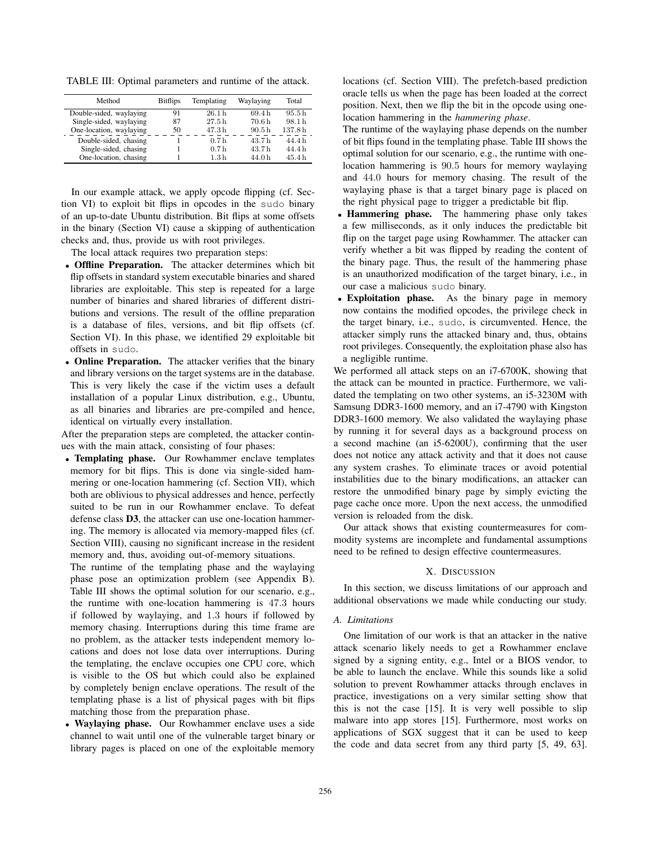TABLE III: Optimal parameters and runtime of the attack.

| Method                  | <b>Bitflips</b> | Templating        | Waylaying         | Total              |
|-------------------------|-----------------|-------------------|-------------------|--------------------|
| Double-sided, waylaying | 91              | 26.1 h            | 69.4 h            | 95.5h              |
| Single-sided, waylaying | 87              | 27.5 <sub>h</sub> | 70.6 h            | 98.1 h             |
| One-location, waylaying | 50              | 47.3h             | 90.5 <sub>h</sub> | 137.8 <sub>h</sub> |
| Double-sided, chasing   |                 | 0.7 <sub>h</sub>  | 43.7 h            | 44 4 h             |
| Single-sided, chasing   |                 | 0.7 <sub>h</sub>  | 43.7 h            | 44.4 h             |
| One-location, chasing   |                 | 1.3 h             | 44.0 h            | 45.4 h             |

In our example attack, we apply opcode flipping (cf. Section VI) to exploit bit flips in opcodes in the sudo binary of an up-to-date Ubuntu distribution. Bit flips at some offsets in the binary (Section VI) cause a skipping of authentication checks and, thus, provide us with root privileges.

The local attack requires two preparation steps:

- Offline Preparation. The attacker determines which bit flip offsets in standard system executable binaries and shared libraries are exploitable. This step is repeated for a large number of binaries and shared libraries of different distributions and versions. The result of the offline preparation is a database of files, versions, and bit flip offsets (cf. Section VI). In this phase, we identified 29 exploitable bit offsets in sudo.
- Online Preparation. The attacker verifies that the binary and library versions on the target systems are in the database. This is very likely the case if the victim uses a default installation of a popular Linux distribution, e.g., Ubuntu, as all binaries and libraries are pre-compiled and hence, identical on virtually every installation.

After the preparation steps are completed, the attacker continues with the main attack, consisting of four phases:

• Templating phase. Our Rowhammer enclave templates memory for bit flips. This is done via single-sided hammering or one-location hammering (cf. Section VII), which both are oblivious to physical addresses and hence, perfectly suited to be run in our Rowhammer enclave. To defeat defense class D3, the attacker can use one-location hammering. The memory is allocated via memory-mapped files (cf. Section VIII), causing no significant increase in the resident memory and, thus, avoiding out-of-memory situations.

The runtime of the templating phase and the waylaying phase pose an optimization problem (see Appendix B). Table III shows the optimal solution for our scenario, e.g., the runtime with one-location hammering is 47.3 hours if followed by waylaying, and 1.3 hours if followed by memory chasing. Interruptions during this time frame are no problem, as the attacker tests independent memory locations and does not lose data over interruptions. During the templating, the enclave occupies one CPU core, which is visible to the OS but which could also be explained by completely benign enclave operations. The result of the templating phase is a list of physical pages with bit flips matching those from the preparation phase.

• Waylaying phase. Our Rowhammer enclave uses a side channel to wait until one of the vulnerable target binary or library pages is placed on one of the exploitable memory locations (cf. Section VIII). The prefetch-based prediction oracle tells us when the page has been loaded at the correct position. Next, then we flip the bit in the opcode using onelocation hammering in the *hammering phase*.

The runtime of the waylaying phase depends on the number of bit flips found in the templating phase. Table III shows the optimal solution for our scenario, e.g., the runtime with onelocation hammering is 90.5 hours for memory waylaying and 44.0 hours for memory chasing. The result of the waylaying phase is that a target binary page is placed on the right physical page to trigger a predictable bit flip.

- Hammering phase. The hammering phase only takes a few milliseconds, as it only induces the predictable bit flip on the target page using Rowhammer. The attacker can verify whether a bit was flipped by reading the content of the binary page. Thus, the result of the hammering phase is an unauthorized modification of the target binary, i.e., in our case a malicious sudo binary.
- Exploitation phase. As the binary page in memory now contains the modified opcodes, the privilege check in the target binary, i.e., sudo, is circumvented. Hence, the attacker simply runs the attacked binary and, thus, obtains root privileges. Consequently, the exploitation phase also has a negligible runtime.

We performed all attack steps on an i7-6700K, showing that the attack can be mounted in practice. Furthermore, we validated the templating on two other systems, an i5-3230M with Samsung DDR3-1600 memory, and an i7-4790 with Kingston DDR3-1600 memory. We also validated the waylaying phase by running it for several days as a background process on a second machine (an i5-6200U), confirming that the user does not notice any attack activity and that it does not cause any system crashes. To eliminate traces or avoid potential instabilities due to the binary modifications, an attacker can restore the unmodified binary page by simply evicting the page cache once more. Upon the next access, the unmodified version is reloaded from the disk.

Our attack shows that existing countermeasures for commodity systems are incomplete and fundamental assumptions need to be refined to design effective countermeasures.

## X. DISCUSSION

In this section, we discuss limitations of our approach and additional observations we made while conducting our study.

## *A. Limitations*

One limitation of our work is that an attacker in the native attack scenario likely needs to get a Rowhammer enclave signed by a signing entity, e.g., Intel or a BIOS vendor, to be able to launch the enclave. While this sounds like a solid solution to prevent Rowhammer attacks through enclaves in practice, investigations on a very similar setting show that this is not the case [15]. It is very well possible to slip malware into app stores [15]. Furthermore, most works on applications of SGX suggest that it can be used to keep the code and data secret from any third party [5, 49, 63].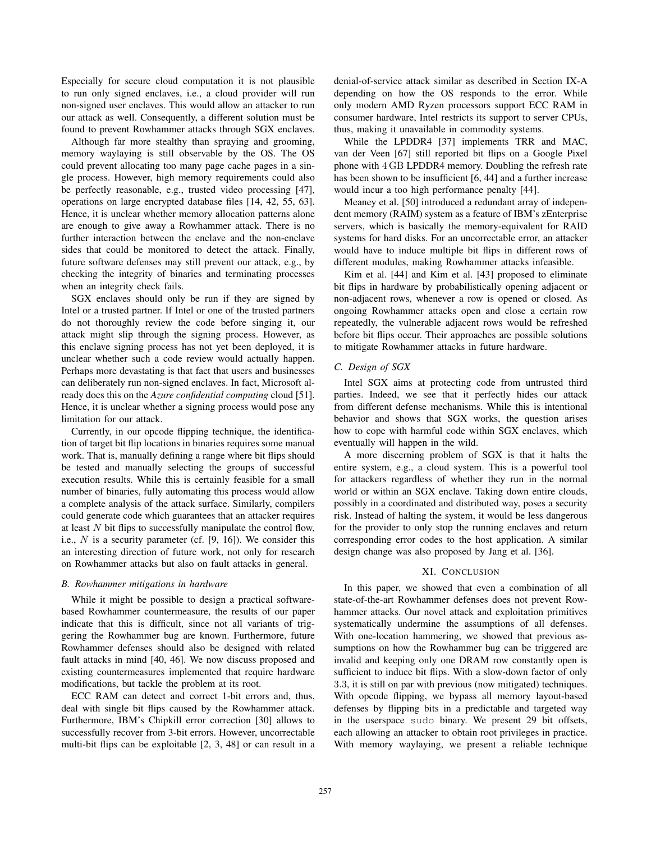Especially for secure cloud computation it is not plausible to run only signed enclaves, i.e., a cloud provider will run non-signed user enclaves. This would allow an attacker to run our attack as well. Consequently, a different solution must be found to prevent Rowhammer attacks through SGX enclaves.

Although far more stealthy than spraying and grooming, memory waylaying is still observable by the OS. The OS could prevent allocating too many page cache pages in a single process. However, high memory requirements could also be perfectly reasonable, e.g., trusted video processing [47], operations on large encrypted database files [14, 42, 55, 63]. Hence, it is unclear whether memory allocation patterns alone are enough to give away a Rowhammer attack. There is no further interaction between the enclave and the non-enclave sides that could be monitored to detect the attack. Finally, future software defenses may still prevent our attack, e.g., by checking the integrity of binaries and terminating processes when an integrity check fails.

SGX enclaves should only be run if they are signed by Intel or a trusted partner. If Intel or one of the trusted partners do not thoroughly review the code before singing it, our attack might slip through the signing process. However, as this enclave signing process has not yet been deployed, it is unclear whether such a code review would actually happen. Perhaps more devastating is that fact that users and businesses can deliberately run non-signed enclaves. In fact, Microsoft already does this on the *Azure confidential computing* cloud [51]. Hence, it is unclear whether a signing process would pose any limitation for our attack.

Currently, in our opcode flipping technique, the identification of target bit flip locations in binaries requires some manual work. That is, manually defining a range where bit flips should be tested and manually selecting the groups of successful execution results. While this is certainly feasible for a small number of binaries, fully automating this process would allow a complete analysis of the attack surface. Similarly, compilers could generate code which guarantees that an attacker requires at least  $N$  bit flips to successfully manipulate the control flow, i.e.,  $N$  is a security parameter (cf.  $[9, 16]$ ). We consider this an interesting direction of future work, not only for research on Rowhammer attacks but also on fault attacks in general.

## *B. Rowhammer mitigations in hardware*

While it might be possible to design a practical softwarebased Rowhammer countermeasure, the results of our paper indicate that this is difficult, since not all variants of triggering the Rowhammer bug are known. Furthermore, future Rowhammer defenses should also be designed with related fault attacks in mind [40, 46]. We now discuss proposed and existing countermeasures implemented that require hardware modifications, but tackle the problem at its root.

ECC RAM can detect and correct 1-bit errors and, thus, deal with single bit flips caused by the Rowhammer attack. Furthermore, IBM's Chipkill error correction [30] allows to successfully recover from 3-bit errors. However, uncorrectable multi-bit flips can be exploitable [2, 3, 48] or can result in a denial-of-service attack similar as described in Section IX-A depending on how the OS responds to the error. While only modern AMD Ryzen processors support ECC RAM in consumer hardware, Intel restricts its support to server CPUs, thus, making it unavailable in commodity systems.

While the LPDDR4 [37] implements TRR and MAC, van der Veen [67] still reported bit flips on a Google Pixel phone with 4 GB LPDDR4 memory. Doubling the refresh rate has been shown to be insufficient [6, 44] and a further increase would incur a too high performance penalty [44].

Meaney et al. [50] introduced a redundant array of independent memory (RAIM) system as a feature of IBM's zEnterprise servers, which is basically the memory-equivalent for RAID systems for hard disks. For an uncorrectable error, an attacker would have to induce multiple bit flips in different rows of different modules, making Rowhammer attacks infeasible.

Kim et al. [44] and Kim et al. [43] proposed to eliminate bit flips in hardware by probabilistically opening adjacent or non-adjacent rows, whenever a row is opened or closed. As ongoing Rowhammer attacks open and close a certain row repeatedly, the vulnerable adjacent rows would be refreshed before bit flips occur. Their approaches are possible solutions to mitigate Rowhammer attacks in future hardware.

## *C. Design of SGX*

Intel SGX aims at protecting code from untrusted third parties. Indeed, we see that it perfectly hides our attack from different defense mechanisms. While this is intentional behavior and shows that SGX works, the question arises how to cope with harmful code within SGX enclaves, which eventually will happen in the wild.

A more discerning problem of SGX is that it halts the entire system, e.g., a cloud system. This is a powerful tool for attackers regardless of whether they run in the normal world or within an SGX enclave. Taking down entire clouds, possibly in a coordinated and distributed way, poses a security risk. Instead of halting the system, it would be less dangerous for the provider to only stop the running enclaves and return corresponding error codes to the host application. A similar design change was also proposed by Jang et al. [36].

## XI. CONCLUSION

In this paper, we showed that even a combination of all state-of-the-art Rowhammer defenses does not prevent Rowhammer attacks. Our novel attack and exploitation primitives systematically undermine the assumptions of all defenses. With one-location hammering, we showed that previous assumptions on how the Rowhammer bug can be triggered are invalid and keeping only one DRAM row constantly open is sufficient to induce bit flips. With a slow-down factor of only 3.3, it is still on par with previous (now mitigated) techniques. With opcode flipping, we bypass all memory layout-based defenses by flipping bits in a predictable and targeted way in the userspace sudo binary. We present 29 bit offsets, each allowing an attacker to obtain root privileges in practice. With memory waylaying, we present a reliable technique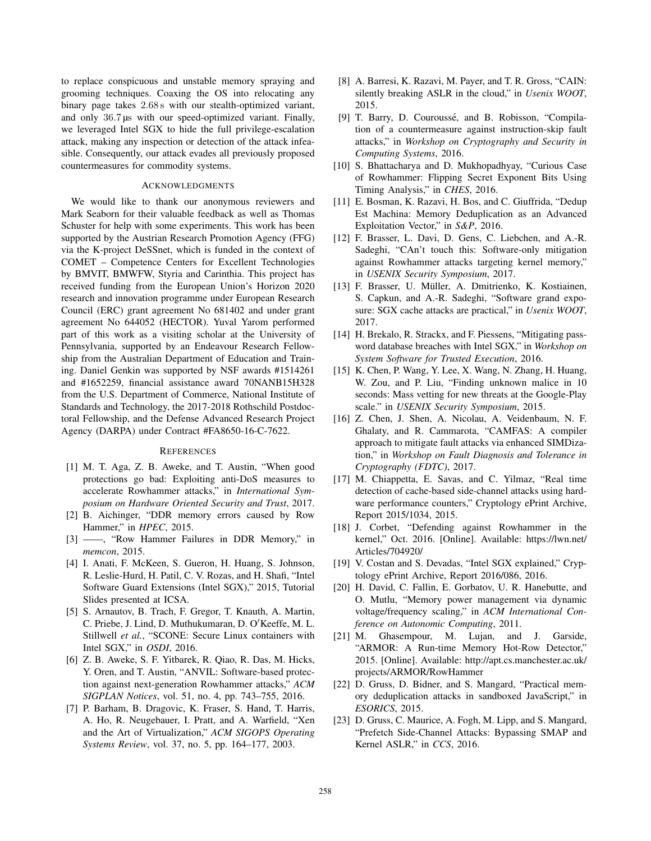to replace conspicuous and unstable memory spraying and grooming techniques. Coaxing the OS into relocating any binary page takes  $2.68 s$  with our stealth-optimized variant, and only 36.7 μs with our speed-optimized variant. Finally, we leveraged Intel SGX to hide the full privilege-escalation attack, making any inspection or detection of the attack infeasible. Consequently, our attack evades all previously proposed countermeasures for commodity systems.

## ACKNOWLEDGMENTS

We would like to thank our anonymous reviewers and Mark Seaborn for their valuable feedback as well as Thomas Schuster for help with some experiments. This work has been supported by the Austrian Research Promotion Agency (FFG) via the K-project DeSSnet, which is funded in the context of COMET – Competence Centers for Excellent Technologies by BMVIT, BMWFW, Styria and Carinthia. This project has received funding from the European Union's Horizon 2020 research and innovation programme under European Research Council (ERC) grant agreement No 681402 and under grant agreement No 644052 (HECTOR). Yuval Yarom performed part of this work as a visiting scholar at the University of Pennsylvania, supported by an Endeavour Research Fellowship from the Australian Department of Education and Training. Daniel Genkin was supported by NSF awards #1514261 and #1652259, financial assistance award 70NANB15H328 from the U.S. Department of Commerce, National Institute of Standards and Technology, the 2017-2018 Rothschild Postdoctoral Fellowship, and the Defense Advanced Research Project Agency (DARPA) under Contract #FA8650-16-C-7622.

#### **REFERENCES**

- [1] M. T. Aga, Z. B. Aweke, and T. Austin, "When good protections go bad: Exploiting anti-DoS measures to accelerate Rowhammer attacks," in *International Symposium on Hardware Oriented Security and Trust*, 2017.
- [2] B. Aichinger, "DDR memory errors caused by Row Hammer," in *HPEC*, 2015.
- [3] ——, "Row Hammer Failures in DDR Memory," in *memcon*, 2015.
- [4] I. Anati, F. McKeen, S. Gueron, H. Huang, S. Johnson, R. Leslie-Hurd, H. Patil, C. V. Rozas, and H. Shafi, "Intel Software Guard Extensions (Intel SGX)," 2015, Tutorial Slides presented at ICSA.
- [5] S. Arnautov, B. Trach, F. Gregor, T. Knauth, A. Martin, C. Priebe, J. Lind, D. Muthukumaran, D. O'Keeffe, M. L. Stillwell *et al.*, "SCONE: Secure Linux containers with Intel SGX," in *OSDI*, 2016.
- [6] Z. B. Aweke, S. F. Yitbarek, R. Qiao, R. Das, M. Hicks, Y. Oren, and T. Austin, "ANVIL: Software-based protection against next-generation Rowhammer attacks," *ACM SIGPLAN Notices*, vol. 51, no. 4, pp. 743–755, 2016.
- [7] P. Barham, B. Dragovic, K. Fraser, S. Hand, T. Harris, A. Ho, R. Neugebauer, I. Pratt, and A. Warfield, "Xen and the Art of Virtualization," *ACM SIGOPS Operating Systems Review*, vol. 37, no. 5, pp. 164–177, 2003.
- [8] A. Barresi, K. Razavi, M. Payer, and T. R. Gross, "CAIN: silently breaking ASLR in the cloud," in *Usenix WOOT*, 2015.
- [9] T. Barry, D. Couroussé, and B. Robisson, "Compilation of a countermeasure against instruction-skip fault attacks," in *Workshop on Cryptography and Security in Computing Systems*, 2016.
- [10] S. Bhattacharya and D. Mukhopadhyay, "Curious Case of Rowhammer: Flipping Secret Exponent Bits Using Timing Analysis," in *CHES*, 2016.
- [11] E. Bosman, K. Razavi, H. Bos, and C. Giuffrida, "Dedup Est Machina: Memory Deduplication as an Advanced Exploitation Vector," in *S&P*, 2016.
- [12] F. Brasser, L. Davi, D. Gens, C. Liebchen, and A.-R. Sadeghi, "CAn't touch this: Software-only mitigation against Rowhammer attacks targeting kernel memory," in *USENIX Security Symposium*, 2017.
- [13] F. Brasser, U. Müller, A. Dmitrienko, K. Kostiainen, S. Capkun, and A.-R. Sadeghi, "Software grand exposure: SGX cache attacks are practical," in *Usenix WOOT*, 2017.
- [14] H. Brekalo, R. Strackx, and F. Piessens, "Mitigating password database breaches with Intel SGX," in *Workshop on System Software for Trusted Execution*, 2016.
- [15] K. Chen, P. Wang, Y. Lee, X. Wang, N. Zhang, H. Huang, W. Zou, and P. Liu, "Finding unknown malice in 10 seconds: Mass vetting for new threats at the Google-Play scale." in *USENIX Security Symposium*, 2015.
- [16] Z. Chen, J. Shen, A. Nicolau, A. Veidenbaum, N. F. Ghalaty, and R. Cammarota, "CAMFAS: A compiler approach to mitigate fault attacks via enhanced SIMDization," in *Workshop on Fault Diagnosis and Tolerance in Cryptography (FDTC)*, 2017.
- [17] M. Chiappetta, E. Savas, and C. Yilmaz, "Real time detection of cache-based side-channel attacks using hardware performance counters," Cryptology ePrint Archive, Report 2015/1034, 2015.
- [18] J. Corbet, "Defending against Rowhammer in the kernel," Oct. 2016. [Online]. Available: https://lwn.net/ Articles/704920/
- [19] V. Costan and S. Devadas, "Intel SGX explained," Cryptology ePrint Archive, Report 2016/086, 2016.
- [20] H. David, C. Fallin, E. Gorbatov, U. R. Hanebutte, and O. Mutlu, "Memory power management via dynamic voltage/frequency scaling," in *ACM International Conference on Autonomic Computing*, 2011.
- [21] M. Ghasempour, M. Lujan, and J. Garside, "ARMOR: A Run-time Memory Hot-Row Detector," 2015. [Online]. Available: http://apt.cs.manchester.ac.uk/ projects/ARMOR/RowHammer
- [22] D. Gruss, D. Bidner, and S. Mangard, "Practical memory deduplication attacks in sandboxed JavaScript," in *ESORICS*, 2015.
- [23] D. Gruss, C. Maurice, A. Fogh, M. Lipp, and S. Mangard, "Prefetch Side-Channel Attacks: Bypassing SMAP and Kernel ASLR," in *CCS*, 2016.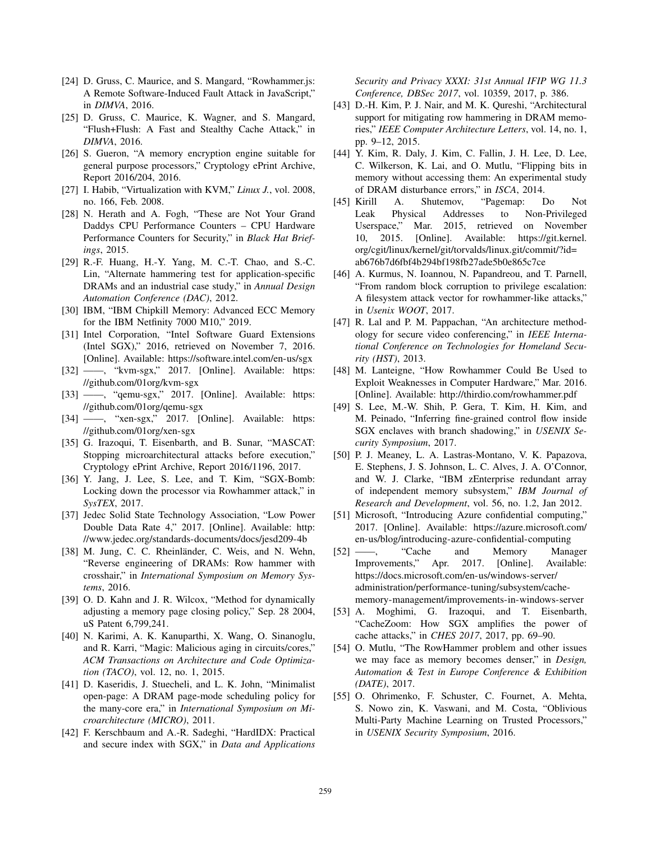- [24] D. Gruss, C. Maurice, and S. Mangard, "Rowhammer.js: A Remote Software-Induced Fault Attack in JavaScript," in *DIMVA*, 2016.
- [25] D. Gruss, C. Maurice, K. Wagner, and S. Mangard, "Flush+Flush: A Fast and Stealthy Cache Attack," in *DIMVA*, 2016.
- [26] S. Gueron, "A memory encryption engine suitable for general purpose processors," Cryptology ePrint Archive, Report 2016/204, 2016.
- [27] I. Habib, "Virtualization with KVM," *Linux J.*, vol. 2008, no. 166, Feb. 2008.
- [28] N. Herath and A. Fogh, "These are Not Your Grand Daddys CPU Performance Counters – CPU Hardware Performance Counters for Security," in *Black Hat Briefings*, 2015.
- [29] R.-F. Huang, H.-Y. Yang, M. C.-T. Chao, and S.-C. Lin, "Alternate hammering test for application-specific DRAMs and an industrial case study," in *Annual Design Automation Conference (DAC)*, 2012.
- [30] IBM, "IBM Chipkill Memory: Advanced ECC Memory for the IBM Netfinity 7000 M10," 2019.
- [31] Intel Corporation, "Intel Software Guard Extensions (Intel SGX)," 2016, retrieved on November 7, 2016. [Online]. Available: https://software.intel.com/en-us/sgx
- [32] ——, "kvm-sgx," 2017. [Online]. Available: https: //github.com/01org/kvm-sgx
- [33] —, "qemu-sgx," 2017. [Online]. Available: https: //github.com/01org/qemu-sgx
- [34] ——, "xen-sgx," 2017. [Online]. Available: https: //github.com/01org/xen-sgx
- [35] G. Irazoqui, T. Eisenbarth, and B. Sunar, "MASCAT: Stopping microarchitectural attacks before execution," Cryptology ePrint Archive, Report 2016/1196, 2017.
- [36] Y. Jang, J. Lee, S. Lee, and T. Kim, "SGX-Bomb: Locking down the processor via Rowhammer attack," in *SysTEX*, 2017.
- [37] Jedec Solid State Technology Association, "Low Power Double Data Rate 4," 2017. [Online]. Available: http: //www.jedec.org/standards-documents/docs/jesd209-4b
- [38] M. Jung, C. C. Rheinländer, C. Weis, and N. Wehn, "Reverse engineering of DRAMs: Row hammer with crosshair," in *International Symposium on Memory Systems*, 2016.
- [39] O. D. Kahn and J. R. Wilcox, "Method for dynamically adjusting a memory page closing policy," Sep. 28 2004, uS Patent 6,799,241.
- [40] N. Karimi, A. K. Kanuparthi, X. Wang, O. Sinanoglu, and R. Karri, "Magic: Malicious aging in circuits/cores," *ACM Transactions on Architecture and Code Optimization (TACO)*, vol. 12, no. 1, 2015.
- [41] D. Kaseridis, J. Stuecheli, and L. K. John, "Minimalist open-page: A DRAM page-mode scheduling policy for the many-core era," in *International Symposium on Microarchitecture (MICRO)*, 2011.
- [42] F. Kerschbaum and A.-R. Sadeghi, "HardIDX: Practical and secure index with SGX," in *Data and Applications*

*Security and Privacy XXXI: 31st Annual IFIP WG 11.3 Conference, DBSec 2017*, vol. 10359, 2017, p. 386.

- [43] D.-H. Kim, P. J. Nair, and M. K. Qureshi, "Architectural support for mitigating row hammering in DRAM memories," *IEEE Computer Architecture Letters*, vol. 14, no. 1, pp. 9–12, 2015.
- [44] Y. Kim, R. Daly, J. Kim, C. Fallin, J. H. Lee, D. Lee, C. Wilkerson, K. Lai, and O. Mutlu, "Flipping bits in memory without accessing them: An experimental study of DRAM disturbance errors," in *ISCA*, 2014.
- [45] Kirill A. Shutemov, "Pagemap: Do Not Leak Physical Addresses to Non-Privileged Userspace," Mar. 2015, retrieved on November 10, 2015. [Online]. Available: https://git.kernel. org/cgit/linux/kernel/git/torvalds/linux.git/commit/?id= ab676b7d6fbf4b294bf198fb27ade5b0e865c7ce
- [46] A. Kurmus, N. Ioannou, N. Papandreou, and T. Parnell, "From random block corruption to privilege escalation: A filesystem attack vector for rowhammer-like attacks," in *Usenix WOOT*, 2017.
- [47] R. Lal and P. M. Pappachan, "An architecture methodology for secure video conferencing," in *IEEE International Conference on Technologies for Homeland Security (HST)*, 2013.
- [48] M. Lanteigne, "How Rowhammer Could Be Used to Exploit Weaknesses in Computer Hardware," Mar. 2016. [Online]. Available: http://thirdio.com/rowhammer.pdf
- [49] S. Lee, M.-W. Shih, P. Gera, T. Kim, H. Kim, and M. Peinado, "Inferring fine-grained control flow inside SGX enclaves with branch shadowing," in *USENIX Security Symposium*, 2017.
- [50] P. J. Meaney, L. A. Lastras-Montano, V. K. Papazova, E. Stephens, J. S. Johnson, L. C. Alves, J. A. O'Connor, and W. J. Clarke, "IBM zEnterprise redundant array of independent memory subsystem," *IBM Journal of Research and Development*, vol. 56, no. 1.2, Jan 2012.
- [51] Microsoft, "Introducing Azure confidential computing," 2017. [Online]. Available: https://azure.microsoft.com/ en-us/blog/introducing-azure-confidential-computing
- [52] ——, "Cache and Memory Manager Improvements," Apr. 2017. [Online]. Available: https://docs.microsoft.com/en-us/windows-server/ administration/performance-tuning/subsystem/cachememory-management/improvements-in-windows-server
- [53] A. Moghimi, G. Irazoqui, and T. Eisenbarth, "CacheZoom: How SGX amplifies the power of cache attacks," in *CHES 2017*, 2017, pp. 69–90.
- [54] O. Mutlu, "The RowHammer problem and other issues we may face as memory becomes denser," in *Design, Automation & Test in Europe Conference & Exhibition (DATE)*, 2017.
- [55] O. Ohrimenko, F. Schuster, C. Fournet, A. Mehta, S. Nowo zin, K. Vaswani, and M. Costa, "Oblivious Multi-Party Machine Learning on Trusted Processors," in *USENIX Security Symposium*, 2016.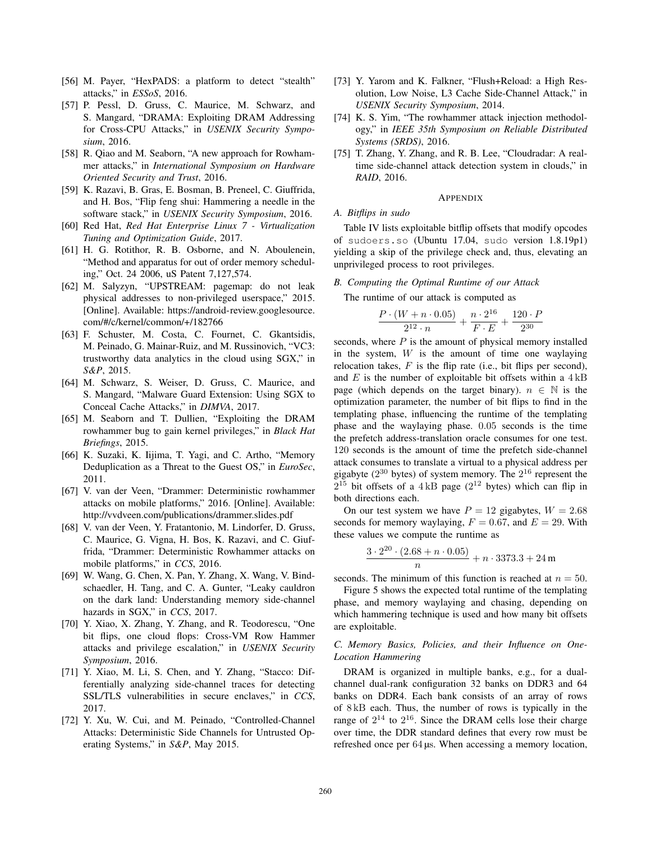- [56] M. Payer, "HexPADS: a platform to detect "stealth" attacks," in *ESSoS*, 2016.
- [57] P. Pessl, D. Gruss, C. Maurice, M. Schwarz, and S. Mangard, "DRAMA: Exploiting DRAM Addressing for Cross-CPU Attacks," in *USENIX Security Symposium*, 2016.
- [58] R. Qiao and M. Seaborn, "A new approach for Rowhammer attacks," in *International Symposium on Hardware Oriented Security and Trust*, 2016.
- [59] K. Razavi, B. Gras, E. Bosman, B. Preneel, C. Giuffrida, and H. Bos, "Flip feng shui: Hammering a needle in the software stack," in *USENIX Security Symposium*, 2016.
- [60] Red Hat, *Red Hat Enterprise Linux 7 Virtualization Tuning and Optimization Guide*, 2017.
- [61] H. G. Rotithor, R. B. Osborne, and N. Aboulenein, "Method and apparatus for out of order memory scheduling," Oct. 24 2006, uS Patent 7,127,574.
- [62] M. Salyzyn, "UPSTREAM: pagemap: do not leak physical addresses to non-privileged userspace," 2015. [Online]. Available: https://android-review.googlesource. com/#/c/kernel/common/+/182766
- [63] F. Schuster, M. Costa, C. Fournet, C. Gkantsidis, M. Peinado, G. Mainar-Ruiz, and M. Russinovich, "VC3: trustworthy data analytics in the cloud using SGX," in *S&P*, 2015.
- [64] M. Schwarz, S. Weiser, D. Gruss, C. Maurice, and S. Mangard, "Malware Guard Extension: Using SGX to Conceal Cache Attacks," in *DIMVA*, 2017.
- [65] M. Seaborn and T. Dullien, "Exploiting the DRAM rowhammer bug to gain kernel privileges," in *Black Hat Briefings*, 2015.
- [66] K. Suzaki, K. Iijima, T. Yagi, and C. Artho, "Memory Deduplication as a Threat to the Guest OS," in *EuroSec*, 2011.
- [67] V. van der Veen, "Drammer: Deterministic rowhammer attacks on mobile platforms," 2016. [Online]. Available: http://vvdveen.com/publications/drammer.slides.pdf
- [68] V. van der Veen, Y. Fratantonio, M. Lindorfer, D. Gruss, C. Maurice, G. Vigna, H. Bos, K. Razavi, and C. Giuffrida, "Drammer: Deterministic Rowhammer attacks on mobile platforms," in *CCS*, 2016.
- [69] W. Wang, G. Chen, X. Pan, Y. Zhang, X. Wang, V. Bindschaedler, H. Tang, and C. A. Gunter, "Leaky cauldron on the dark land: Understanding memory side-channel hazards in SGX," in *CCS*, 2017.
- [70] Y. Xiao, X. Zhang, Y. Zhang, and R. Teodorescu, "One bit flips, one cloud flops: Cross-VM Row Hammer attacks and privilege escalation," in *USENIX Security Symposium*, 2016.
- [71] Y. Xiao, M. Li, S. Chen, and Y. Zhang, "Stacco: Differentially analyzing side-channel traces for detecting SSL/TLS vulnerabilities in secure enclaves," in *CCS*, 2017.
- [72] Y. Xu, W. Cui, and M. Peinado, "Controlled-Channel Attacks: Deterministic Side Channels for Untrusted Operating Systems," in *S&P*, May 2015.
- [73] Y. Yarom and K. Falkner, "Flush+Reload: a High Resolution, Low Noise, L3 Cache Side-Channel Attack," in *USENIX Security Symposium*, 2014.
- [74] K. S. Yim, "The rowhammer attack injection methodology," in *IEEE 35th Symposium on Reliable Distributed Systems (SRDS)*, 2016.
- [75] T. Zhang, Y. Zhang, and R. B. Lee, "Cloudradar: A realtime side-channel attack detection system in clouds," in *RAID*, 2016.

#### APPENDIX

## *A. Bitflips in sudo*

Table IV lists exploitable bitflip offsets that modify opcodes of sudoers.so (Ubuntu 17.04, sudo version 1.8.19p1) yielding a skip of the privilege check and, thus, elevating an unprivileged process to root privileges.

## *B. Computing the Optimal Runtime of our Attack*

The runtime of our attack is computed as

$$
\frac{P \cdot (W + n \cdot 0.05)}{2^{12} \cdot n} + \frac{n \cdot 2^{16}}{F \cdot E} + \frac{120 \cdot P}{2^{30}}
$$

seconds, where  $P$  is the amount of physical memory installed in the system,  $W$  is the amount of time one waylaying relocation takes,  $F$  is the flip rate (i.e., bit flips per second), and  $E$  is the number of exploitable bit offsets within a  $4kB$ page (which depends on the target binary).  $n \in \mathbb{N}$  is the optimization parameter, the number of bit flips to find in the templating phase, influencing the runtime of the templating phase and the waylaying phase. 0.05 seconds is the time the prefetch address-translation oracle consumes for one test. 120 seconds is the amount of time the prefetch side-channel attack consumes to translate a virtual to a physical address per gigabyte ( $2^{30}$  bytes) of system memory. The  $2^{16}$  represent the  $2^{15}$  bit offsets of a 4 kB page ( $2^{12}$  bytes) which can flip in both directions each.

On our test system we have  $P = 12$  gigabytes,  $W = 2.68$ seconds for memory waylaying,  $F = 0.67$ , and  $E = 29$ . With these values we compute the runtime as

$$
\frac{3 \cdot 2^{20} \cdot (2.68 + n \cdot 0.05)}{n} + n \cdot 3373.3 + 24 \,\mathrm{m}
$$

seconds. The minimum of this function is reached at  $n = 50$ .

Figure 5 shows the expected total runtime of the templating phase, and memory waylaying and chasing, depending on which hammering technique is used and how many bit offsets are exploitable.

## *C. Memory Basics, Policies, and their Influence on One-Location Hammering*

DRAM is organized in multiple banks, e.g., for a dualchannel dual-rank configuration 32 banks on DDR3 and 64 banks on DDR4. Each bank consists of an array of rows of 8 kB each. Thus, the number of rows is typically in the range of  $2^{14}$  to  $2^{16}$ . Since the DRAM cells lose their charge over time, the DDR standard defines that every row must be refreshed once per 64 μs. When accessing a memory location,